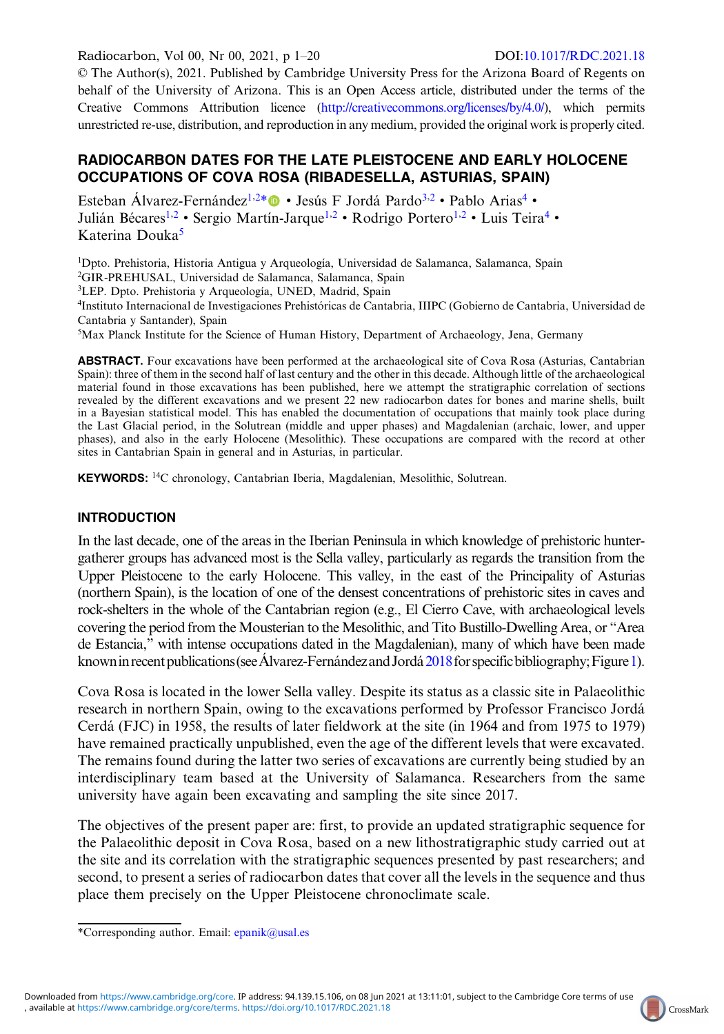Radiocarbon, Vol 00, Nr 00, 2021, p 1–20 DOI:[10.1017/RDC.2021.18](https://doi.org/10.1017/RDC.2021.18)

© The Author(s), 2021. Published by Cambridge University Press for the Arizona Board of Regents on behalf of the University of Arizona. This is an Open Access article, distributed under the terms of the Creative Commons Attribution licence [\(http://creativecommons.org/licenses/by/4.0/\)](http://creativecommons.org/licenses/by/4.0/), which permits unrestricted re-use, distribution, and reproduction in any medium, provided the original work is properly cited.

## RADIOCARBON DATES FOR THE LATE PLEISTOCENE AND EARLY HOLOCENE OCCUPATIONS OF COVA ROSA (RIBADESELLA, ASTURIAS, SPAIN)

Esteban Álvarez-Fernández<sup>1,2\*</sup> · Jesús F Jordá Pardo<sup>3,2</sup> · Pablo Arias<sup>4</sup> · Julián Bécares<sup>1,2</sup> • Sergio Martín-Jarque<sup>1,2</sup> • Rodrigo Portero<sup>1,2</sup> • Luis Teira<sup>4</sup> • Katerina Douka<sup>5</sup>

<sup>1</sup>Dpto. Prehistoria, Historia Antigua y Arqueología, Universidad de Salamanca, Salamanca, Spain 2 GIR-PREHUSAL, Universidad de Salamanca, Salamanca, Spain <sup>3</sup>LEP. Dpto. Prehistoria y Arqueología, UNED, Madrid, Spain <sup>4</sup>Instituto Internacional de Investigaciones Prehistóricas de Cantabria, IIIPC (Gobierno de Cantabria, Universidad de

Cantabria y Santander), Spain

5 Max Planck Institute for the Science of Human History, Department of Archaeology, Jena, Germany

**ABSTRACT.** Four excavations have been performed at the archaeological site of Cova Rosa (Asturias, Cantabrian Spain): three of them in the second half of last century and the other in this decade. Although little of the archaeological material found in those excavations has been published, here we attempt the stratigraphic correlation of sections revealed by the different excavations and we present 22 new radiocarbon dates for bones and marine shells, built in a Bayesian statistical model. This has enabled the documentation of occupations that mainly took place during the Last Glacial period, in the Solutrean (middle and upper phases) and Magdalenian (archaic, lower, and upper phases), and also in the early Holocene (Mesolithic). These occupations are compared with the record at other sites in Cantabrian Spain in general and in Asturias, in particular.

KEYWORDS: 14C chronology, Cantabrian Iberia, Magdalenian, Mesolithic, Solutrean.

### INTRODUCTION

In the last decade, one of the areas in the Iberian Peninsula in which knowledge of prehistoric huntergatherer groups has advanced most is the Sella valley, particularly as regards the transition from the Upper Pleistocene to the early Holocene. This valley, in the east of the Principality of Asturias (northern Spain), is the location of one of the densest concentrations of prehistoric sites in caves and rock-shelters in the whole of the Cantabrian region (e.g., El Cierro Cave, with archaeological levels covering the period from the Mousterian to the Mesolithic, and Tito Bustillo-Dwelling Area, or "Area de Estancia," with intense occupations dated in the Magdalenian), many of which have been made known in recent publications (see Álvarez-Fernández and Jordá [2018](#page-18-0) for specific bibliography; Figure [1](#page-1-0)).

Cova Rosa is located in the lower Sella valley. Despite its status as a classic site in Palaeolithic research in northern Spain, owing to the excavations performed by Professor Francisco Jordá Cerdá (FJC) in 1958, the results of later fieldwork at the site (in 1964 and from 1975 to 1979) have remained practically unpublished, even the age of the different levels that were excavated. The remains found during the latter two series of excavations are currently being studied by an interdisciplinary team based at the University of Salamanca. Researchers from the same university have again been excavating and sampling the site since 2017.

The objectives of the present paper are: first, to provide an updated stratigraphic sequence for the Palaeolithic deposit in Cova Rosa, based on a new lithostratigraphic study carried out at the site and its correlation with the stratigraphic sequences presented by past researchers; and second, to present a series of radiocarbon dates that cover all the levels in the sequence and thus place them precisely on the Upper Pleistocene chronoclimate scale.



<sup>\*</sup>Corresponding author. Email: [epanik@usal.es](mailto:epanik@usal.es)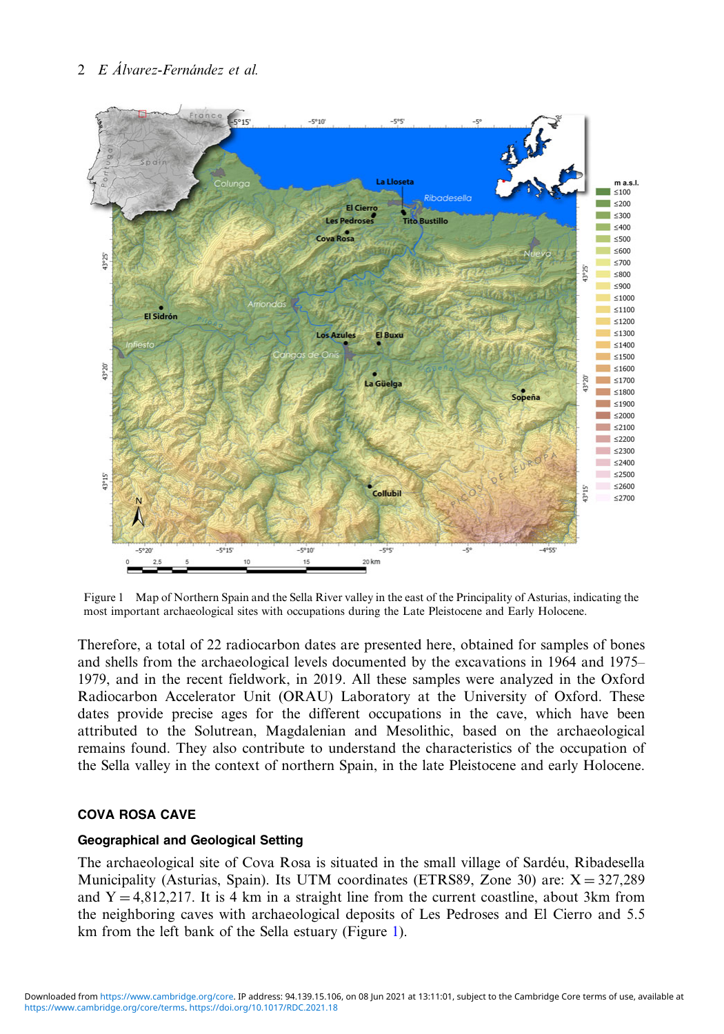<span id="page-1-0"></span>

Figure 1 Map of Northern Spain and the Sella River valley in the east of the Principality of Asturias, indicating the most important archaeological sites with occupations during the Late Pleistocene and Early Holocene.

Therefore, a total of 22 radiocarbon dates are presented here, obtained for samples of bones and shells from the archaeological levels documented by the excavations in 1964 and 1975– 1979, and in the recent fieldwork, in 2019. All these samples were analyzed in the Oxford Radiocarbon Accelerator Unit (ORAU) Laboratory at the University of Oxford. These dates provide precise ages for the different occupations in the cave, which have been attributed to the Solutrean, Magdalenian and Mesolithic, based on the archaeological remains found. They also contribute to understand the characteristics of the occupation of the Sella valley in the context of northern Spain, in the late Pleistocene and early Holocene.

### COVA ROSA CAVE

#### Geographical and Geological Setting

The archaeological site of Cova Rosa is situated in the small village of Sardéu, Ribadesella Municipality (Asturias, Spain). Its UTM coordinates (ETRS89, Zone 30) are:  $X = 327,289$ and  $Y = 4,812,217$ . It is 4 km in a straight line from the current coastline, about 3km from the neighboring caves with archaeological deposits of Les Pedroses and El Cierro and 5.5 km from the left bank of the Sella estuary (Figure 1).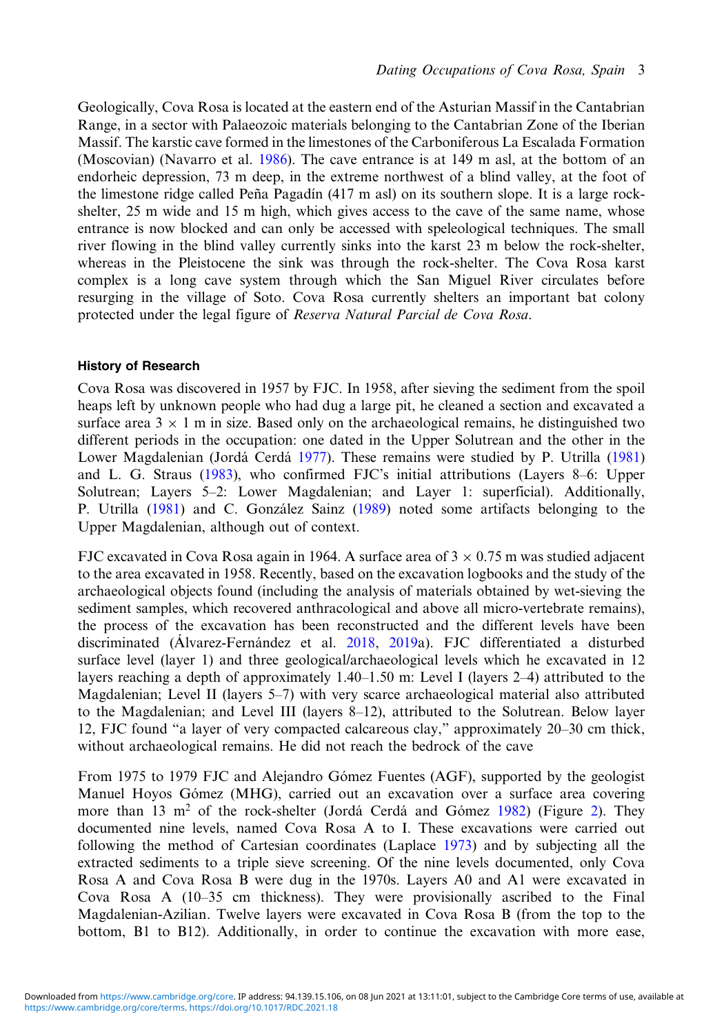Geologically, Cova Rosa is located at the eastern end of the Asturian Massif in the Cantabrian Range, in a sector with Palaeozoic materials belonging to the Cantabrian Zone of the Iberian Massif. The karstic cave formed in the limestones of the Carboniferous La Escalada Formation (Moscovian) (Navarro et al. [1986\)](#page-19-0). The cave entrance is at 149 m asl, at the bottom of an endorheic depression, 73 m deep, in the extreme northwest of a blind valley, at the foot of the limestone ridge called Peña Pagadín  $(417 \text{ m as}l)$  on its southern slope. It is a large rockshelter, 25 m wide and 15 m high, which gives access to the cave of the same name, whose entrance is now blocked and can only be accessed with speleological techniques. The small river flowing in the blind valley currently sinks into the karst 23 m below the rock-shelter, whereas in the Pleistocene the sink was through the rock-shelter. The Cova Rosa karst complex is a long cave system through which the San Miguel River circulates before resurging in the village of Soto. Cova Rosa currently shelters an important bat colony protected under the legal figure of Reserva Natural Parcial de Cova Rosa.

#### History of Research

Cova Rosa was discovered in 1957 by FJC. In 1958, after sieving the sediment from the spoil heaps left by unknown people who had dug a large pit, he cleaned a section and excavated a surface area  $3 \times 1$  m in size. Based only on the archaeological remains, he distinguished two different periods in the occupation: one dated in the Upper Solutrean and the other in the Lower Magdalenian (Jordá Cerdá [1977](#page-18-0)). These remains were studied by P. Utrilla ([1981\)](#page-19-0) and L. G. Straus [\(1983](#page-19-0)), who confirmed FJC's initial attributions (Layers 8–6: Upper Solutrean; Layers 5–2: Lower Magdalenian; and Layer 1: superficial). Additionally, P. Utrilla ([1981\)](#page-19-0) and C. González Sainz ([1989\)](#page-18-0) noted some artifacts belonging to the Upper Magdalenian, although out of context.

FJC excavated in Cova Rosa again in 1964. A surface area of  $3 \times 0.75$  m was studied adjacent to the area excavated in 1958. Recently, based on the excavation logbooks and the study of the archaeological objects found (including the analysis of materials obtained by wet-sieving the sediment samples, which recovered anthracological and above all micro-vertebrate remains), the process of the excavation has been reconstructed and the different levels have been discriminated (Álvarez-Fernández et al. [2018](#page-17-0), [2019a](#page-17-0)). FJC differentiated a disturbed surface level (layer 1) and three geological/archaeological levels which he excavated in 12 layers reaching a depth of approximately 1.40–1.50 m: Level I (layers 2–4) attributed to the Magdalenian; Level II (layers 5–7) with very scarce archaeological material also attributed to the Magdalenian; and Level III (layers 8–12), attributed to the Solutrean. Below layer 12, FJC found "a layer of very compacted calcareous clay," approximately 20–30 cm thick, without archaeological remains. He did not reach the bedrock of the cave

From 1975 to 1979 FJC and Alejandro Gómez Fuentes (AGF), supported by the geologist Manuel Hoyos Gómez (MHG), carried out an excavation over a surface area covering more than 13 m<sup>2</sup> of the rock-shelter (Jordá Cerdá and Gómez [1982](#page-18-0)) (Figure [2](#page-3-0)). They documented nine levels, named Cova Rosa A to I. These excavations were carried out following the method of Cartesian coordinates (Laplace [1973\)](#page-18-0) and by subjecting all the extracted sediments to a triple sieve screening. Of the nine levels documented, only Cova Rosa A and Cova Rosa B were dug in the 1970s. Layers A0 and A1 were excavated in Cova Rosa A (10–35 cm thickness). They were provisionally ascribed to the Final Magdalenian-Azilian. Twelve layers were excavated in Cova Rosa B (from the top to the bottom, B1 to B12). Additionally, in order to continue the excavation with more ease,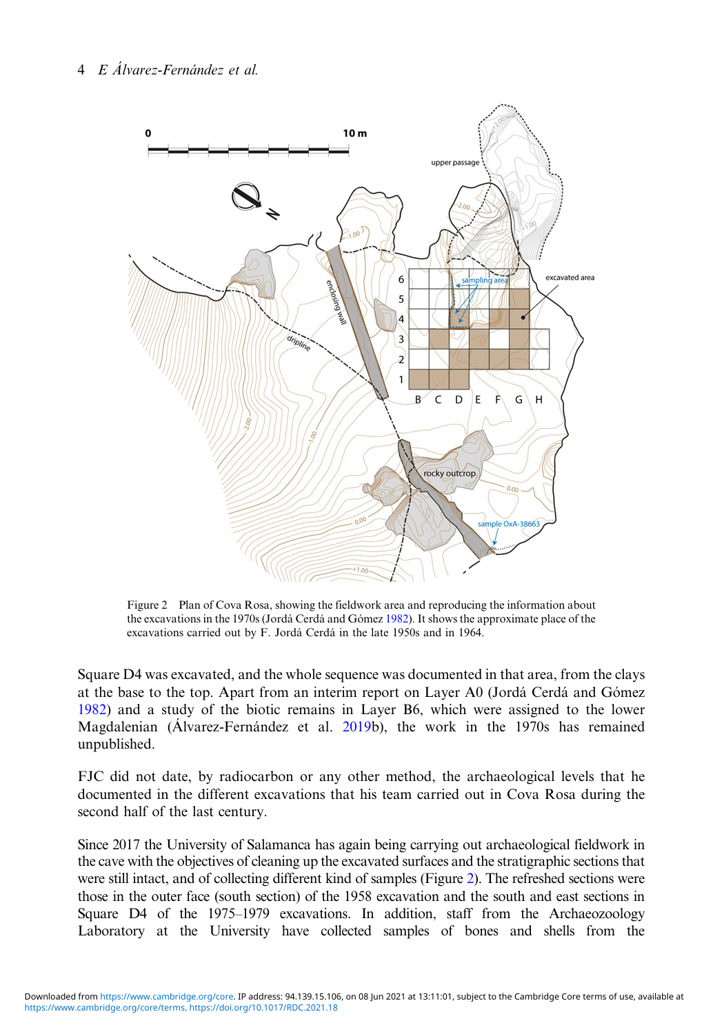<span id="page-3-0"></span>

Figure 2 Plan of Cova Rosa, showing the fieldwork area and reproducing the information about the excavations in the 1970s (Jordá Cerdá and Gómez [1982](#page-18-0)). It shows the approximate place of the excavations carried out by F. Jordá Cerdá in the late 1950s and in 1964.

Square D4 was excavated, and the whole sequence was documented in that area, from the clays at the base to the top. Apart from an interim report on Layer A0 (Jordá Cerdá and Gómez [1982](#page-18-0)) and a study of the biotic remains in Layer B6, which were assigned to the lower Magdalenian (Álvarez-Fernández et al. [2019b](#page-17-0)), the work in the 1970s has remained unpublished.

FJC did not date, by radiocarbon or any other method, the archaeological levels that he documented in the different excavations that his team carried out in Cova Rosa during the second half of the last century.

Since 2017 the University of Salamanca has again being carrying out archaeological fieldwork in the cave with the objectives of cleaning up the excavated surfaces and the stratigraphic sections that were still intact, and of collecting different kind of samples (Figure 2). The refreshed sections were those in the outer face (south section) of the 1958 excavation and the south and east sections in Square D4 of the 1975–1979 excavations. In addition, staff from the Archaeozoology Laboratory at the University have collected samples of bones and shells from the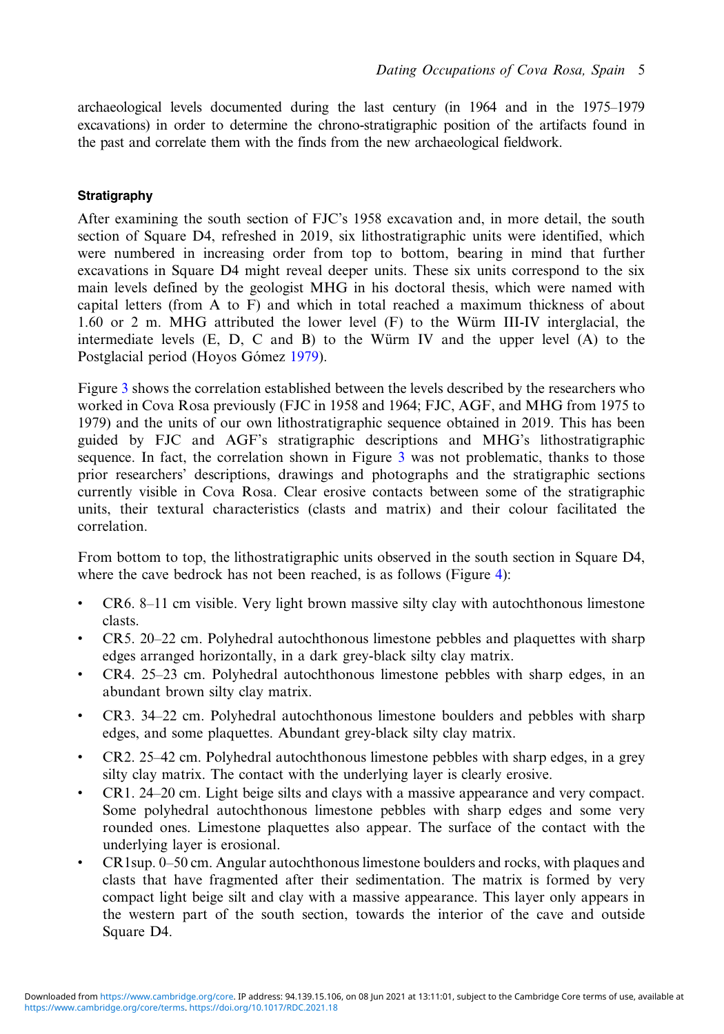archaeological levels documented during the last century (in 1964 and in the 1975–1979 excavations) in order to determine the chrono-stratigraphic position of the artifacts found in the past and correlate them with the finds from the new archaeological fieldwork.

## **Stratigraphy**

After examining the south section of FJC's 1958 excavation and, in more detail, the south section of Square D4, refreshed in 2019, six lithostratigraphic units were identified, which were numbered in increasing order from top to bottom, bearing in mind that further excavations in Square D4 might reveal deeper units. These six units correspond to the six main levels defined by the geologist MHG in his doctoral thesis, which were named with capital letters (from A to F) and which in total reached a maximum thickness of about 1.60 or 2 m. MHG attributed the lower level (F) to the Würm III-IV interglacial, the intermediate levels  $(E, D, C \text{ and } B)$  to the Würm IV and the upper level  $(A)$  to the Postglacial period (Hoyos Gómez [1979\)](#page-18-0).

Figure [3](#page-5-0) shows the correlation established between the levels described by the researchers who worked in Cova Rosa previously (FJC in 1958 and 1964; FJC, AGF, and MHG from 1975 to 1979) and the units of our own lithostratigraphic sequence obtained in 2019. This has been guided by FJC and AGF's stratigraphic descriptions and MHG's lithostratigraphic sequence. In fact, the correlation shown in Figure [3](#page-5-0) was not problematic, thanks to those prior researchers' descriptions, drawings and photographs and the stratigraphic sections currently visible in Cova Rosa. Clear erosive contacts between some of the stratigraphic units, their textural characteristics (clasts and matrix) and their colour facilitated the correlation.

From bottom to top, the lithostratigraphic units observed in the south section in Square D4, where the cave bedrock has not been reached, is as follows (Figure [4\)](#page-5-0):

- CR6. 8–11 cm visible. Very light brown massive silty clay with autochthonous limestone clasts.
- CR5. 20–22 cm. Polyhedral autochthonous limestone pebbles and plaquettes with sharp edges arranged horizontally, in a dark grey-black silty clay matrix.
- CR4. 25–23 cm. Polyhedral autochthonous limestone pebbles with sharp edges, in an abundant brown silty clay matrix.
- CR3. 34–22 cm. Polyhedral autochthonous limestone boulders and pebbles with sharp edges, and some plaquettes. Abundant grey-black silty clay matrix.
- CR2. 25–42 cm. Polyhedral autochthonous limestone pebbles with sharp edges, in a grey silty clay matrix. The contact with the underlying layer is clearly erosive.
- CR1. 24–20 cm. Light beige silts and clays with a massive appearance and very compact. Some polyhedral autochthonous limestone pebbles with sharp edges and some very rounded ones. Limestone plaquettes also appear. The surface of the contact with the underlying layer is erosional.
- CR1sup. 0–50 cm. Angular autochthonous limestone boulders and rocks, with plaques and clasts that have fragmented after their sedimentation. The matrix is formed by very compact light beige silt and clay with a massive appearance. This layer only appears in the western part of the south section, towards the interior of the cave and outside Square D4.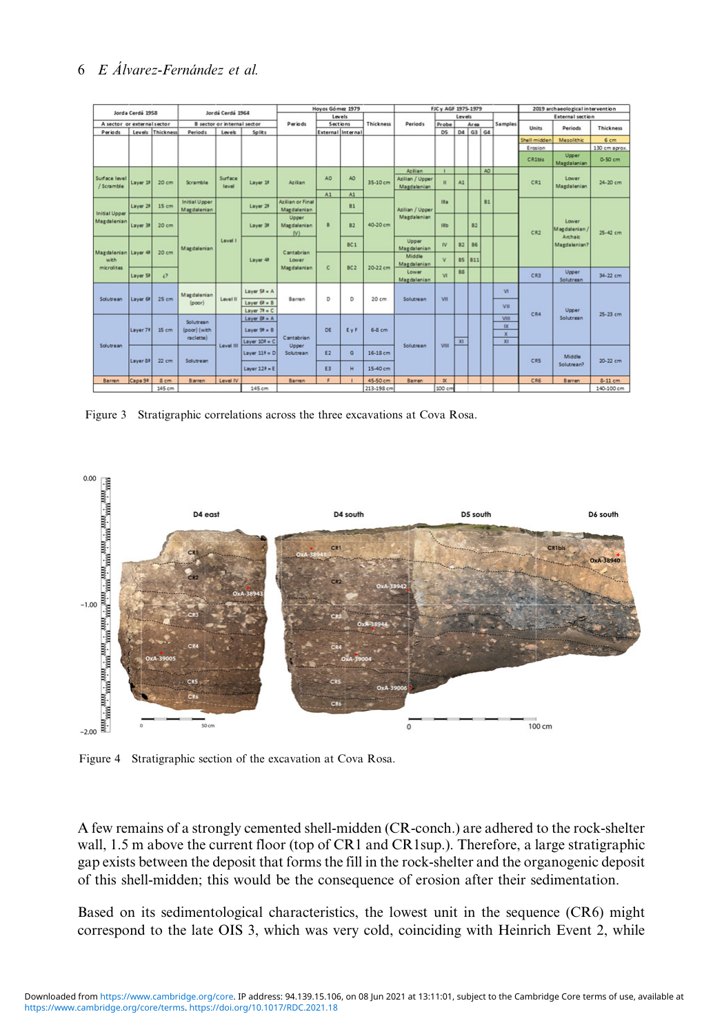<span id="page-5-0"></span>

|                                     |                      | Jordá Cerdá 1964                   |                                            |                  | Hoyos Gómez 1979             |                                                    |                    | FJC y AGF 1975-1979 |                |                                     |                |           | 2019 archaeological intervention |           |                         |              |                      |                        |            |                    |          |
|-------------------------------------|----------------------|------------------------------------|--------------------------------------------|------------------|------------------------------|----------------------------------------------------|--------------------|---------------------|----------------|-------------------------------------|----------------|-----------|----------------------------------|-----------|-------------------------|--------------|----------------------|------------------------|------------|--------------------|----------|
| Jorda Cerdá 1958                    |                      |                                    |                                            |                  |                              | Levels                                             |                    | Thickness           |                | Levels                              |                |           |                                  |           | <b>External section</b> |              |                      |                        |            |                    |          |
| A sector or external sector         |                      | <b>B</b> sector or internal sector |                                            |                  | Periods                      | Sections                                           |                    |                     | <b>Periods</b> | Probe<br>Area                       |                |           | Samples                          |           |                         | Thickness    |                      |                        |            |                    |          |
| Periods                             |                      | Levels Thickness                   | <b>Periods</b>                             | Loyek            | Splits                       |                                                    |                    | External Internal   |                |                                     | D <sub>5</sub> |           | D4 G3 G4                         |           |                         | <b>Units</b> | Periods              |                        |            |                    |          |
|                                     |                      |                                    |                                            |                  |                              |                                                    |                    |                     |                |                                     |                |           |                                  |           |                         | Shell midden | Mesolithic           | 6 <sub>cm</sub>        |            |                    |          |
|                                     |                      |                                    |                                            |                  |                              |                                                    |                    |                     |                |                                     |                |           |                                  |           |                         | Erasion      |                      | 130 cm aprox.          |            |                    |          |
|                                     |                      |                                    |                                            |                  |                              |                                                    |                    |                     |                |                                     |                |           |                                  |           |                         | CR1bis       | Upper<br>Magdalenian | 0-50 cm                |            |                    |          |
|                                     |                      |                                    |                                            |                  |                              |                                                    |                    |                     | 35-10 cm       | Azilian                             |                |           |                                  | AO.       |                         |              |                      |                        |            |                    |          |
| Surface level<br>/ Scramble         | Layer 18             | 20 <sub>cm</sub>                   | Scramble                                   | Surface<br>level | Laver <sub>18</sub>          | Azilian                                            | AO.                | AO                  |                | Azilian / Upper<br>n<br>Magdalenian |                | A1        |                                  |           |                         | CR1          | Lower<br>Magdalenian | 24-20 cm               |            |                    |          |
|                                     |                      |                                    |                                            |                  |                              |                                                    | A1                 | A1                  |                |                                     |                |           |                                  |           |                         |              |                      |                        |            |                    |          |
|                                     | Laver <sub>28</sub>  | 15 cm                              | <b>Initial Upper</b><br><b>Magdalenian</b> |                  | Layer 2#                     | Azilian or Final<br>Magdalenian                    |                    | <b>B1</b>           |                | Azilian / Upper                     | IIa.           |           |                                  | <b>B1</b> |                         |              |                      |                        |            |                    |          |
| <b>Initial Upper</b><br>Magdalenian |                      |                                    |                                            |                  |                              | Upper                                              |                    |                     | Magdalenian    |                                     |                |           |                                  |           |                         | Lower        |                      |                        |            |                    |          |
|                                     | Layer 39             | 20 cm                              |                                            |                  |                              | Layer 3#                                           | Magdalenian<br>(N) | B                   | B2             | 40-20 cm                            |                | нь        |                                  | B2        |                         |              | CR2                  | Magdalenian<br>Archaic | $25-42$ cm |                    |          |
|                                     | Magdalenian Layer 48 | 20 <sub>cm</sub>                   | Magdalenian                                | Level I          |                              |                                                    |                    | BC1                 |                | Upper<br>Magdalenian                | <b>IV</b>      | <b>B2</b> | B <sub>5</sub>                   |           |                         |              | Magdalenian?         |                        |            |                    |          |
| with                                |                      |                                    |                                            |                  | Layer 48                     | Cantabrian<br>Lower<br>Magdalenian                 | $\epsilon$         | BC2                 | 20-22 cm       | Middle                              | $\mathbf{v}$   | BS<br>811 |                                  |           |                         |              |                      |                        |            |                    |          |
| microlites                          |                      |                                    |                                            |                  |                              |                                                    |                    |                     |                | Magdalenian                         | 88             |           |                                  |           |                         |              |                      |                        |            |                    |          |
|                                     | Laver <sub>52</sub>  | $i$ ?                              |                                            |                  |                              |                                                    |                    |                     |                |                                     |                |           | Lower<br>Magdalenian             | <b>VI</b> |                         |              |                      |                        | CR3        | Upper<br>Solutrean | 34-22 cm |
|                                     | Layer 62             | 25 cm                              | <b>Magdalenian</b><br>(poor)               |                  | Layer $5k = A$               | Barren                                             |                    |                     | 20 cm          | Solutrean                           | VII            |           |                                  |           | <b>VI</b>               |              |                      |                        |            |                    |          |
| Solutrean                           |                      |                                    |                                            | Level II         | Layer $6k = 8$               |                                                    |                    | D<br>D              |                |                                     |                |           |                                  |           |                         |              |                      |                        |            |                    |          |
|                                     |                      |                                    |                                            |                  |                              |                                                    |                    |                     |                | Layer $79 = C$                      |                |           |                                  |           |                         |              |                      |                        |            | VII                | CR4      |
|                                     |                      |                                    | Solutrean                                  |                  | Layer $38$ = A               |                                                    |                    |                     |                |                                     |                |           |                                  |           | VIII                    |              | Solutrean            |                        |            |                    |          |
|                                     | Layer 73             | 15 cm                              | (poor) (with                               |                  | Layer $98 = 8$               |                                                    | DE                 | EyF                 | $6-8$ cm       |                                     |                |           |                                  |           | $\overline{\mathbf{x}}$ |              |                      |                        |            |                    |          |
|                                     |                      |                                    | raclette)                                  |                  |                              | Cantabrian<br>Upper<br>E <sub>2</sub><br>Solutrean |                    |                     |                |                                     |                |           |                                  |           | $\bf x$                 |              |                      |                        |            |                    |          |
| Solutrean                           |                      |                                    |                                            | Level III        | Layer $10^{\frac{1}{2}}$ = C |                                                    |                    |                     |                | Solutrean                           | VIII           | $x_1$     |                                  |           | $_{\rm X1}$             |              |                      |                        |            |                    |          |
|                                     | Layer St             | 22 cm                              | Solutrean                                  |                  | Layer $117 = D$              |                                                    | G                  | 16-18 cm            |                |                                     |                |           |                                  |           | CRS                     | Middle       |                      |                        |            |                    |          |
|                                     |                      |                                    |                                            |                  | Laver $128 = E$              |                                                    | E3                 | H                   | 15-40 cm       |                                     |                |           |                                  |           |                         |              | Solutrean?           | 20-22 cm               |            |                    |          |
| Barren                              | Capa 9t              | 8 cm                               | <b>Barren</b>                              | Level IV         |                              | Barren                                             | $\blacksquare$     |                     | 45-50 cm       | Barren                              | $\alpha$       |           |                                  |           |                         | CRE          | <b>Barren</b>        | 8-11 cm                |            |                    |          |
|                                     |                      | 145 cm                             |                                            |                  | 145 cm                       |                                                    |                    |                     | 213-198 cm     |                                     | 100 cm         |           |                                  |           |                         |              |                      | 140-100 cm             |            |                    |          |

Figure 3 Stratigraphic correlations across the three excavations at Cova Rosa.



Figure 4 Stratigraphic section of the excavation at Cova Rosa.

A few remains of a strongly cemented shell-midden (CR-conch.) are adhered to the rock-shelter wall, 1.5 m above the current floor (top of CR1 and CR1sup.). Therefore, a large stratigraphic gap exists between the deposit that forms the fill in the rock-shelter and the organogenic deposit of this shell-midden; this would be the consequence of erosion after their sedimentation.

Based on its sedimentological characteristics, the lowest unit in the sequence (CR6) might correspond to the late OIS 3, which was very cold, coinciding with Heinrich Event 2, while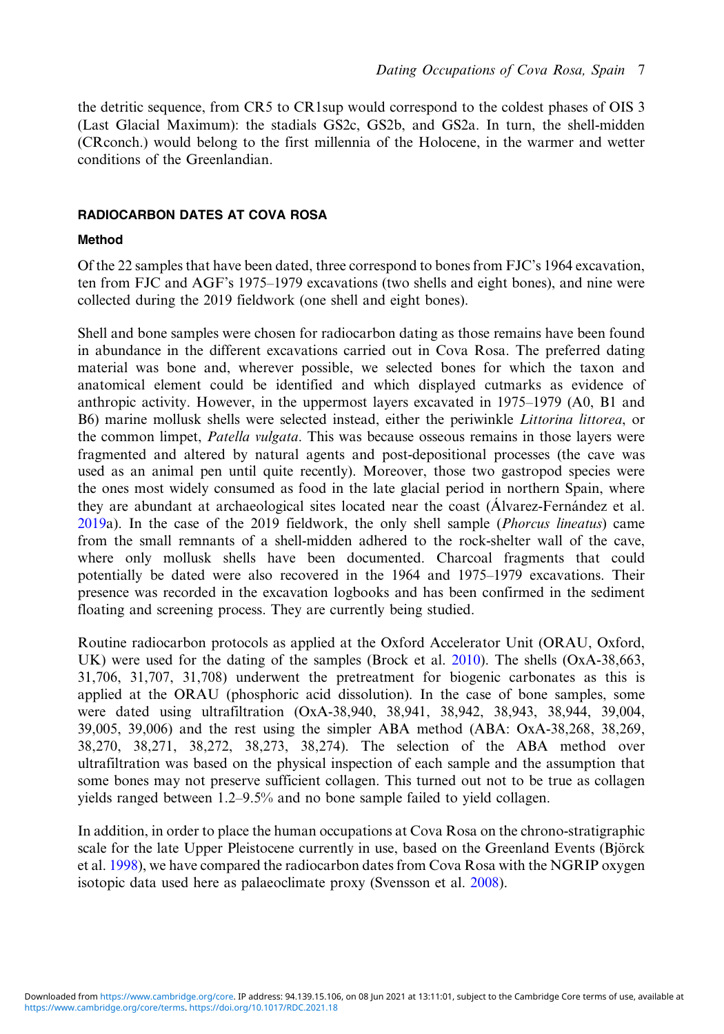the detritic sequence, from CR5 to CR1sup would correspond to the coldest phases of OIS 3 (Last Glacial Maximum): the stadials GS2c, GS2b, and GS2a. In turn, the shell-midden (CRconch.) would belong to the first millennia of the Holocene, in the warmer and wetter conditions of the Greenlandian.

### RADIOCARBON DATES AT COVA ROSA

## Method

Of the 22 samples that have been dated, three correspond to bones from FJC's 1964 excavation, ten from FJC and AGF's 1975–1979 excavations (two shells and eight bones), and nine were collected during the 2019 fieldwork (one shell and eight bones).

Shell and bone samples were chosen for radiocarbon dating as those remains have been found in abundance in the different excavations carried out in Cova Rosa. The preferred dating material was bone and, wherever possible, we selected bones for which the taxon and anatomical element could be identified and which displayed cutmarks as evidence of anthropic activity. However, in the uppermost layers excavated in 1975–1979 (A0, B1 and B6) marine mollusk shells were selected instead, either the periwinkle Littorina littorea, or the common limpet, Patella vulgata. This was because osseous remains in those layers were fragmented and altered by natural agents and post-depositional processes (the cave was used as an animal pen until quite recently). Moreover, those two gastropod species were the ones most widely consumed as food in the late glacial period in northern Spain, where they are abundant at archaeological sites located near the coast (Álvarez-Fernández et al. [2019](#page-17-0)a). In the case of the 2019 fieldwork, the only shell sample (Phorcus lineatus) came from the small remnants of a shell-midden adhered to the rock-shelter wall of the cave, where only mollusk shells have been documented. Charcoal fragments that could potentially be dated were also recovered in the 1964 and 1975–1979 excavations. Their presence was recorded in the excavation logbooks and has been confirmed in the sediment floating and screening process. They are currently being studied.

Routine radiocarbon protocols as applied at the Oxford Accelerator Unit (ORAU, Oxford, UK) were used for the dating of the samples (Brock et al. [2010](#page-18-0)). The shells (OxA-38,663, 31,706, 31,707, 31,708) underwent the pretreatment for biogenic carbonates as this is applied at the ORAU (phosphoric acid dissolution). In the case of bone samples, some were dated using ultrafiltration (OxA-38,940, 38,941, 38,942, 38,943, 38,944, 39,004, 39,005, 39,006) and the rest using the simpler ABA method (ABA: OxA-38,268, 38,269, 38,270, 38,271, 38,272, 38,273, 38,274). The selection of the ABA method over ultrafiltration was based on the physical inspection of each sample and the assumption that some bones may not preserve sufficient collagen. This turned out not to be true as collagen yields ranged between 1.2–9.5% and no bone sample failed to yield collagen.

In addition, in order to place the human occupations at Cova Rosa on the chrono-stratigraphic scale for the late Upper Pleistocene currently in use, based on the Greenland Events (Björck et al. [1998](#page-18-0)), we have compared the radiocarbon dates from Cova Rosa with the NGRIP oxygen isotopic data used here as palaeoclimate proxy (Svensson et al. [2008](#page-19-0)).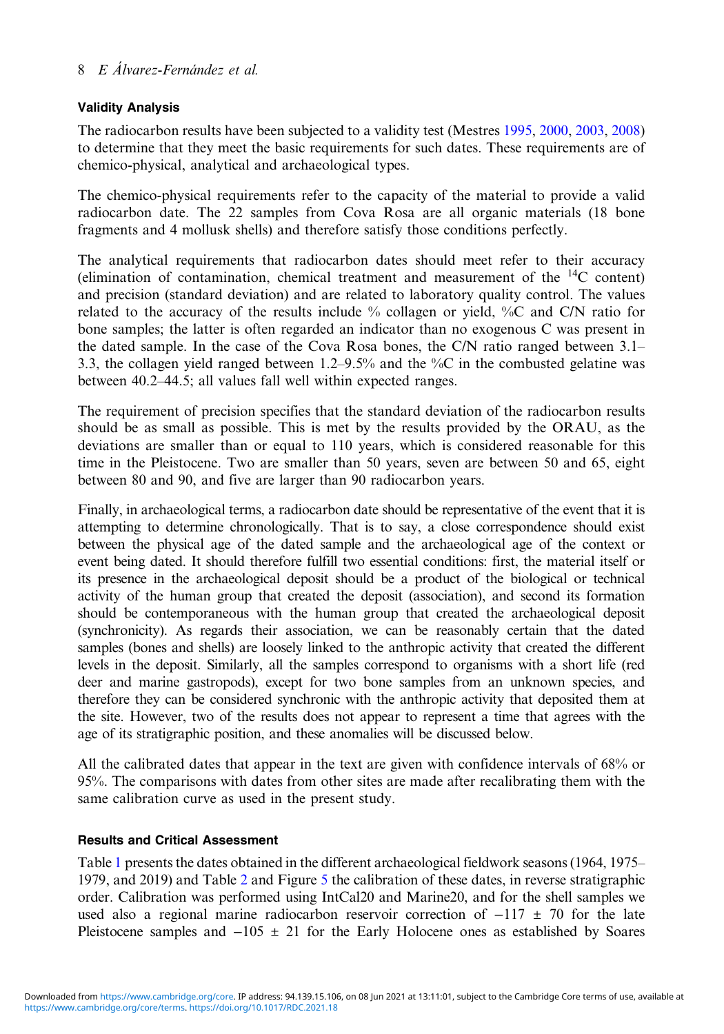## Validity Analysis

The radiocarbon results have been subjected to a validity test (Mestres [1995](#page-19-0), [2000,](#page-19-0) [2003,](#page-19-0) [2008\)](#page-19-0) to determine that they meet the basic requirements for such dates. These requirements are of chemico-physical, analytical and archaeological types.

The chemico-physical requirements refer to the capacity of the material to provide a valid radiocarbon date. The 22 samples from Cova Rosa are all organic materials (18 bone fragments and 4 mollusk shells) and therefore satisfy those conditions perfectly.

The analytical requirements that radiocarbon dates should meet refer to their accuracy (elimination of contamination, chemical treatment and measurement of the  ${}^{14}C$  content) and precision (standard deviation) and are related to laboratory quality control. The values related to the accuracy of the results include % collagen or yield, %C and C/N ratio for bone samples; the latter is often regarded an indicator than no exogenous C was present in the dated sample. In the case of the Cova Rosa bones, the C/N ratio ranged between 3.1– 3.3, the collagen yield ranged between 1.2–9.5% and the %C in the combusted gelatine was between 40.2–44.5; all values fall well within expected ranges.

The requirement of precision specifies that the standard deviation of the radiocarbon results should be as small as possible. This is met by the results provided by the ORAU, as the deviations are smaller than or equal to 110 years, which is considered reasonable for this time in the Pleistocene. Two are smaller than 50 years, seven are between 50 and 65, eight between 80 and 90, and five are larger than 90 radiocarbon years.

Finally, in archaeological terms, a radiocarbon date should be representative of the event that it is attempting to determine chronologically. That is to say, a close correspondence should exist between the physical age of the dated sample and the archaeological age of the context or event being dated. It should therefore fulfill two essential conditions: first, the material itself or its presence in the archaeological deposit should be a product of the biological or technical activity of the human group that created the deposit (association), and second its formation should be contemporaneous with the human group that created the archaeological deposit (synchronicity). As regards their association, we can be reasonably certain that the dated samples (bones and shells) are loosely linked to the anthropic activity that created the different levels in the deposit. Similarly, all the samples correspond to organisms with a short life (red deer and marine gastropods), except for two bone samples from an unknown species, and therefore they can be considered synchronic with the anthropic activity that deposited them at the site. However, two of the results does not appear to represent a time that agrees with the age of its stratigraphic position, and these anomalies will be discussed below.

All the calibrated dates that appear in the text are given with confidence intervals of 68% or 95%. The comparisons with dates from other sites are made after recalibrating them with the same calibration curve as used in the present study.

### Results and Critical Assessment

Table [1](#page-8-0) presents the dates obtained in the different archaeological fieldwork seasons (1964, 1975– 1979, and 2019) and Table [2](#page-9-0) and Figure [5](#page-10-0) the calibration of these dates, in reverse stratigraphic order. Calibration was performed using IntCal20 and Marine20, and for the shell samples we used also a regional marine radiocarbon reservoir correction of  $-117 \pm 70$  for the late Pleistocene samples and  $-105 \pm 21$  for the Early Holocene ones as established by Soares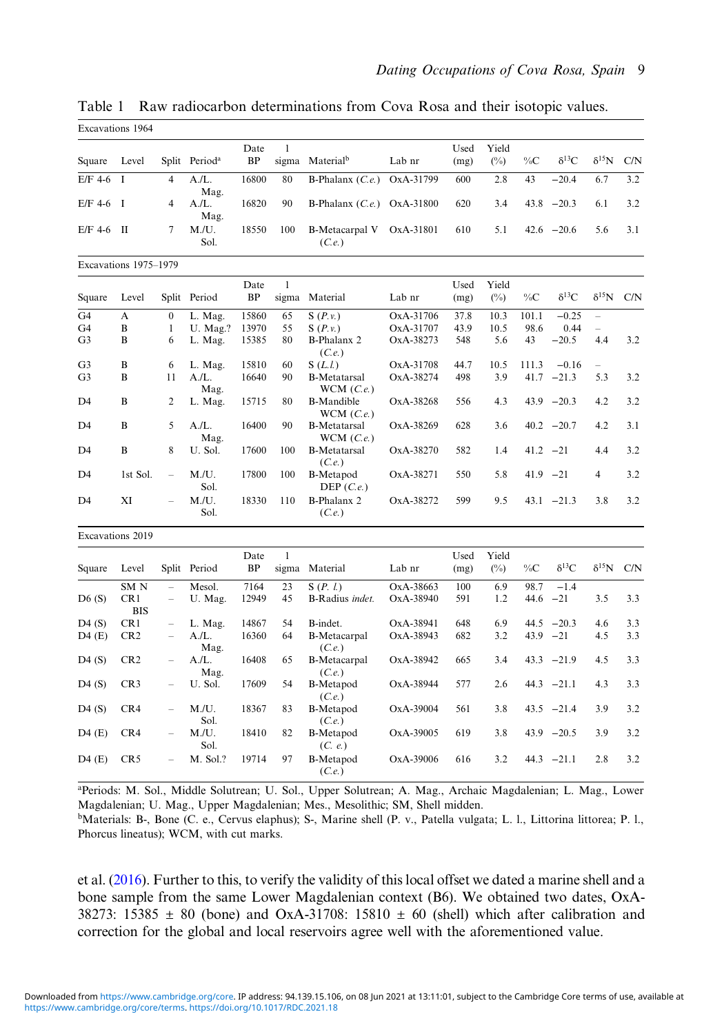|                      | Excavations 1964       |                                            |                           |                   |              |                                  |                        |              |                 |              |                 |                |                    |
|----------------------|------------------------|--------------------------------------------|---------------------------|-------------------|--------------|----------------------------------|------------------------|--------------|-----------------|--------------|-----------------|----------------|--------------------|
| Square               | Level                  |                                            | Split Period <sup>a</sup> | Date<br><b>BP</b> | $\mathbf{1}$ | sigma Material <sup>b</sup>      | Lab nr                 | Used<br>(mg) | Yield<br>$(\%)$ | $\%C$        | $\delta^{13}C$  | $\delta^{15}N$ | C/N                |
| $E/F$ 4-6            | $\mathbf I$            | $\overline{4}$                             | A.IL.<br>Mag.             | 16800             | 80           | B-Phalanx $(C.e.)$               | OxA-31799              | 600          | 2.8             | 43           | $-20.4$         | 6.7            | 3.2                |
| $E/F$ 4-6            | I                      | 4                                          | A.IL.<br>Mag.             | 16820             | 90           | B-Phalanx $(C.e.)$ OxA-31800     |                        | 620          | 3.4             | 43.8         | $-20.3$         | 6.1            | 3.2                |
| $E/F$ 4-6 II         |                        | $\tau$                                     | M.U.<br>Sol.              | 18550             | 100          | <b>B-Metacarpal V</b><br>(C.e.)  | OxA-31801              | 610          | 5.1             |              | $42.6 -20.6$    | 5.6            | 3.1                |
|                      | Excavations 1975-1979  |                                            |                           |                   |              |                                  |                        |              |                 |              |                 |                |                    |
| Square               | Level                  |                                            | Split Period              | Date<br>BP        | $\mathbf{1}$ | sigma Material                   | Lab nr                 | Used<br>(mg) | Yield<br>$(\%)$ | $\%C$        | $\delta^{13}C$  |                | $\delta^{15}N$ C/N |
| G <sub>4</sub>       | A                      | $\overline{0}$                             | L. Mag.                   | 15860             | 65           | S(P.v.)                          | OxA-31706              | 37.8         | 10.3            | 101.1        | $-0.25$         | $\equiv$       |                    |
| G4                   | B                      | $\mathbf{1}$                               | U. Mag.?                  | 13970             | 55           | S(P.v.)                          | OxA-31707              | 43.9         | 10.5            | 98.6         | 0.44            |                |                    |
| G <sub>3</sub>       | $\bf{B}$               | 6                                          | L. Mag.                   | 15385             | 80           | <b>B-Phalanx 2</b><br>(C.e.)     | OxA-38273              | 548          | 5.6             | 43           | $-20.5$         | 4.4            | 3.2                |
| G <sub>3</sub>       | B                      | 6                                          | L. Mag.                   | 15810             | 60           | S(L.l.)                          | OxA-31708              | 44.7         | 10.5            | 111.3        | $-0.16$         | ÷.             |                    |
| G <sub>3</sub>       | B                      | 11                                         | A.IL.<br>Mag.             | 16640             | 90           | <b>B-Metatarsal</b><br>WCM(C.e.) | OxA-38274              | 498          | 3.9             |              | $41.7 -21.3$    | 5.3            | 3.2                |
| D <sub>4</sub>       | B                      | $\overline{c}$                             | L. Mag.                   | 15715             | 80           | <b>B-Mandible</b><br>WCM(C.e.)   | OxA-38268              | 556          | 4.3             |              | $43.9 -20.3$    | 4.2            | 3.2                |
| D <sub>4</sub>       | B                      | 5                                          | A.IL.<br>Mag.             | 16400             | 90           | <b>B-Metatarsal</b><br>WCM(C.e.) | OxA-38269              | 628          | 3.6             |              | $40.2 -20.7$    | 4.2            | 3.1                |
| D <sub>4</sub>       | B                      | 8                                          | U. Sol.                   | 17600             | 100          | <b>B-Metatarsal</b><br>(C.e.)    | OxA-38270              | 582          | 1.4             |              | $41.2 -21$      | 4.4            | 3.2                |
| D4                   | 1st Sol.               | $\overline{\phantom{0}}$                   | M.U.<br>Sol.              | 17800             | 100          | B-Metapod<br>DEP $(C.e.)$        | OxA-38271              | 550          | 5.8             |              | $41.9 -21$      | $\overline{4}$ | 3.2                |
| D <sub>4</sub>       | XI                     |                                            | M.U.<br>Sol.              | 18330             | 110          | <b>B-Phalanx 2</b><br>(C.e.)     | OxA-38272              | 599          | 9.5             |              | $43.1 -21.3$    | 3.8            | 3.2                |
|                      | Excavations 2019       |                                            |                           |                   |              |                                  |                        |              |                 |              |                 |                |                    |
| Square               | Level                  |                                            | Split Period              | Date<br>BP        | $\mathbf{1}$ | sigma Material                   | Lab nr                 | Used<br>(mg) | Yield<br>$(\%)$ | $\%C$        | $\delta^{13}C$  | $\delta^{15}N$ | C/N                |
|                      |                        |                                            |                           |                   |              |                                  |                        |              |                 |              |                 |                |                    |
| D6(S)                | SM <sub>N</sub><br>CR1 | $\overline{a}$<br>$\overline{\phantom{0}}$ | Mesol.<br>U. Mag.         | 7164<br>12949     | 23<br>45     | S(P, l.)<br>B-Radius indet.      | OxA-38663<br>OxA-38940 | 100<br>591   | 6.9<br>1.2      | 98.7<br>44.6 | $-1.4$<br>$-21$ | 3.5            | 3.3                |
|                      | <b>BIS</b>             |                                            |                           |                   |              |                                  |                        |              |                 |              |                 |                |                    |
| D4(S)                | CR1                    | $\overline{\phantom{0}}$                   | L. Mag.                   | 14867             | 54           | B-indet.                         | OxA-38941              | 648          | 6.9             | 44.5         | $-20.3$         | 4.6            | 3.3                |
| D4(E)                | CR <sub>2</sub>        | ÷                                          | A.IL.<br>Mag.             | 16360             | 64           | <b>B-Metacarpal</b><br>(C.e.)    | OxA-38943              | 682          | 3.2             |              | $43.9 -21$      | 4.5            | 3.3                |
| D4(S)                | CR2                    | $\equiv$                                   | A.IL.<br>Mag.             | 16408             | 65           | <b>B-Metacarpal</b><br>(C.e.)    | OxA-38942              | 665          | 3.4             |              | $43.3 -21.9$    | 4.5            | 3.3                |
| D <sub>4</sub> $(S)$ | CR <sub>3</sub>        |                                            | U. Sol.                   | 17609             | 54           | B-Metapod<br>(C.e.)              | OxA-38944              | 577          | 2.6             |              | $44.3 -21.1$    | 4.3            | 3.3                |
| D4(S)                | CR4                    | $\overline{a}$                             | M.U.<br>Sol.              | 18367             | 83           | <b>B-Metapod</b><br>(C.e.)       | OxA-39004              | 561          | 3.8             |              | $43.5 -21.4$    | 3.9            | 3.2                |
| D4(E)                | CR4                    | $\equiv$                                   | M.U.<br>Sol.              | 18410             | 82           | B-Metapod<br>(C. e.)             | OxA-39005              | 619          | 3.8             |              | $43.9 -20.5$    | 3.9            | 3.2                |
| D4(E)                | CR <sub>5</sub>        | L.                                         | M. Sol.?                  | 19714             | 97           | B-Metapod<br>(C.e.)              | OxA-39006              | 616          | 3.2             |              | $44.3 -21.1$    | 2.8            | 3.2                |

<span id="page-8-0"></span>Table 1 Raw radiocarbon determinations from Cova Rosa and their isotopic values. Excavations 1964

a Periods: M. Sol., Middle Solutrean; U. Sol., Upper Solutrean; A. Mag., Archaic Magdalenian; L. Mag., Lower Magdalenian; U. Mag., Upper Magdalenian; Mes., Mesolithic; SM, Shell midden.

bMaterials: B-, Bone (C. e., Cervus elaphus); S-, Marine shell (P. v., Patella vulgata; L. l., Littorina littorea; P. l., Phorcus lineatus); WCM, with cut marks.

et al. [\(2016\)](#page-19-0). Further to this, to verify the validity of this local offset we dated a marine shell and a bone sample from the same Lower Magdalenian context (B6). We obtained two dates, OxA-38273: 15385  $\pm$  80 (bone) and OxA-31708: 15810  $\pm$  60 (shell) which after calibration and correction for the global and local reservoirs agree well with the aforementioned value.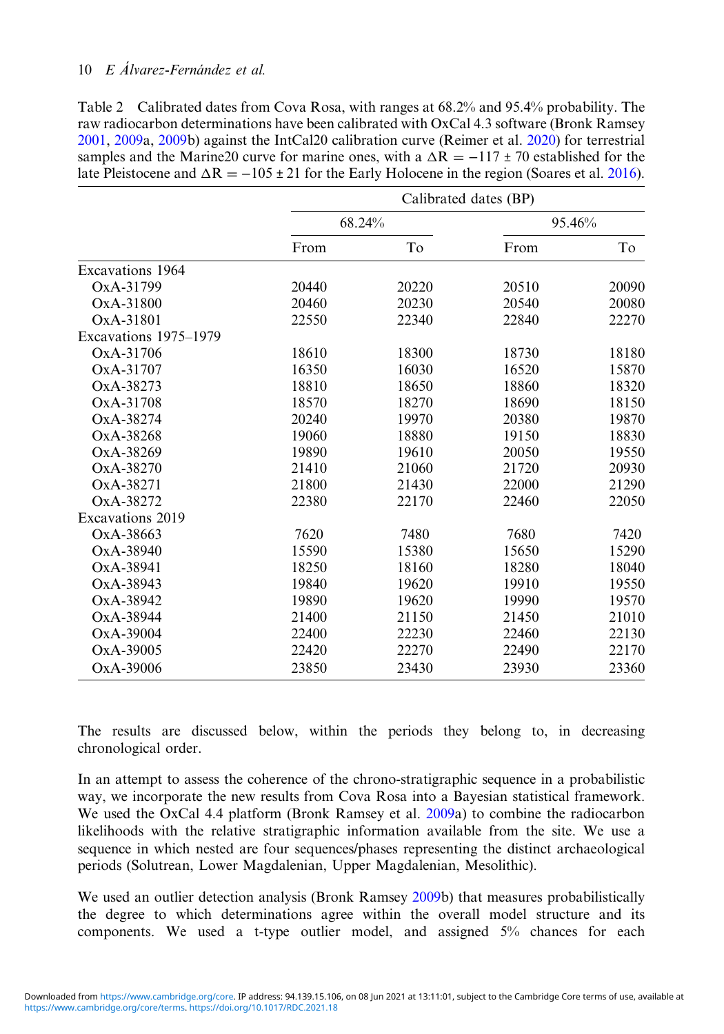<span id="page-9-0"></span>

| Table 2 Calibrated dates from Cova Rosa, with ranges at 68.2% and 95.4% probability. The                 |
|----------------------------------------------------------------------------------------------------------|
| raw radiocarbon determinations have been calibrated with OxCal 4.3 software (Bronk Ramsey                |
| 2001, 2009a, 2009b) against the IntCal20 calibration curve (Reimer et al. 2020) for terrestrial          |
| samples and the Marine 20 curve for marine ones, with a $\Delta R = -117 \pm 70$ established for the     |
| late Pleistocene and $\Delta R = -105 \pm 21$ for the Early Holocene in the region (Soares et al. 2016). |

|                       | Calibrated dates (BP) |        |       |        |  |  |  |
|-----------------------|-----------------------|--------|-------|--------|--|--|--|
|                       |                       | 68.24% |       | 95.46% |  |  |  |
|                       | From                  | To     | From  | To     |  |  |  |
| Excavations 1964      |                       |        |       |        |  |  |  |
| OxA-31799             | 20440                 | 20220  | 20510 | 20090  |  |  |  |
| OxA-31800             | 20460                 | 20230  | 20540 | 20080  |  |  |  |
| OxA-31801             | 22550                 | 22340  | 22840 | 22270  |  |  |  |
| Excavations 1975–1979 |                       |        |       |        |  |  |  |
| OxA-31706             | 18610                 | 18300  | 18730 | 18180  |  |  |  |
| OxA-31707             | 16350                 | 16030  | 16520 | 15870  |  |  |  |
| OxA-38273             | 18810                 | 18650  | 18860 | 18320  |  |  |  |
| OxA-31708             | 18570                 | 18270  | 18690 | 18150  |  |  |  |
| OxA-38274             | 20240                 | 19970  | 20380 | 19870  |  |  |  |
| OxA-38268             | 19060                 | 18880  | 19150 | 18830  |  |  |  |
| $OxA-38269$           | 19890                 | 19610  | 20050 | 19550  |  |  |  |
| OxA-38270             | 21410                 | 21060  | 21720 | 20930  |  |  |  |
| OxA-38271             | 21800                 | 21430  | 22000 | 21290  |  |  |  |
| OxA-38272             | 22380                 | 22170  | 22460 | 22050  |  |  |  |
| Excavations 2019      |                       |        |       |        |  |  |  |
| OxA-38663             | 7620                  | 7480   | 7680  | 7420   |  |  |  |
| OxA-38940             | 15590                 | 15380  | 15650 | 15290  |  |  |  |
| OxA-38941             | 18250                 | 18160  | 18280 | 18040  |  |  |  |
| OxA-38943             | 19840                 | 19620  | 19910 | 19550  |  |  |  |
| OxA-38942             | 19890                 | 19620  | 19990 | 19570  |  |  |  |
| OxA-38944             | 21400                 | 21150  | 21450 | 21010  |  |  |  |
| OxA-39004             | 22400                 | 22230  | 22460 | 22130  |  |  |  |
| OxA-39005             | 22420                 | 22270  | 22490 | 22170  |  |  |  |
| OxA-39006             | 23850                 | 23430  | 23930 | 23360  |  |  |  |

The results are discussed below, within the periods they belong to, in decreasing chronological order.

In an attempt to assess the coherence of the chrono-stratigraphic sequence in a probabilistic way, we incorporate the new results from Cova Rosa into a Bayesian statistical framework. We used the OxCal 4.4 platform (Bronk Ramsey et al. [2009a](#page-18-0)) to combine the radiocarbon likelihoods with the relative stratigraphic information available from the site. We use a sequence in which nested are four sequences/phases representing the distinct archaeological periods (Solutrean, Lower Magdalenian, Upper Magdalenian, Mesolithic).

We used an outlier detection analysis (Bronk Ramsey [2009](#page-18-0)b) that measures probabilistically the degree to which determinations agree within the overall model structure and its components. We used a t-type outlier model, and assigned 5% chances for each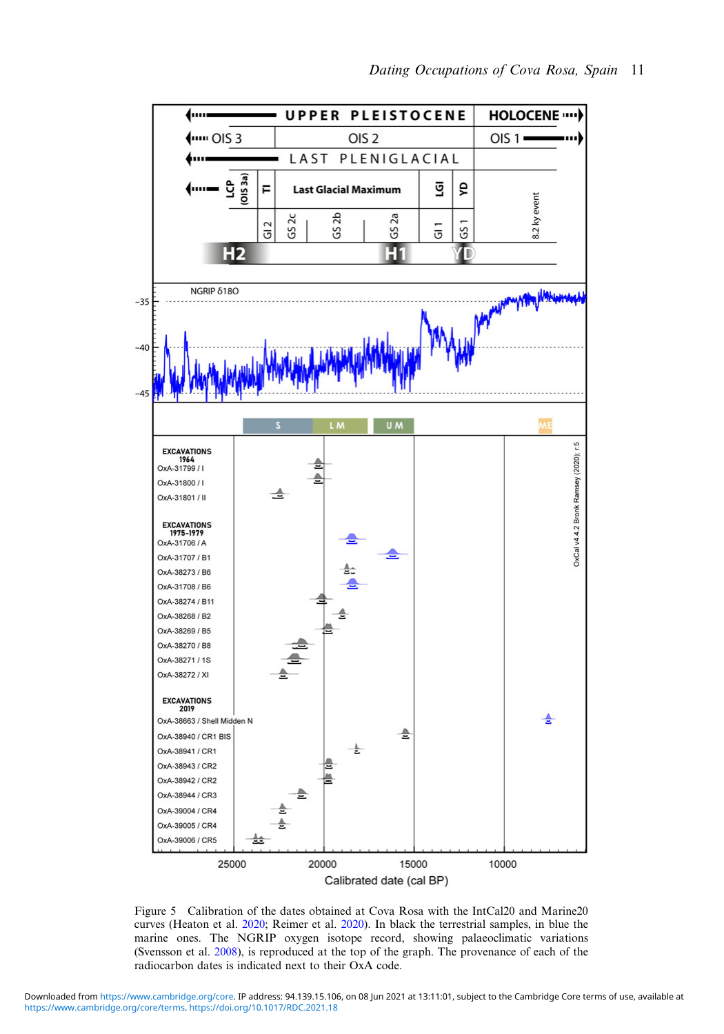<span id="page-10-0"></span>

Figure 5 Calibration of the dates obtained at Cova Rosa with the IntCal20 and Marine20 curves (Heaton et al. [2020;](#page-18-0) Reimer et al. [2020](#page-19-0)). In black the terrestrial samples, in blue the marine ones. The NGRIP oxygen isotope record, showing palaeoclimatic variations (Svensson et al. [2008](#page-19-0)), is reproduced at the top of the graph. The provenance of each of the radiocarbon dates is indicated next to their OxA code.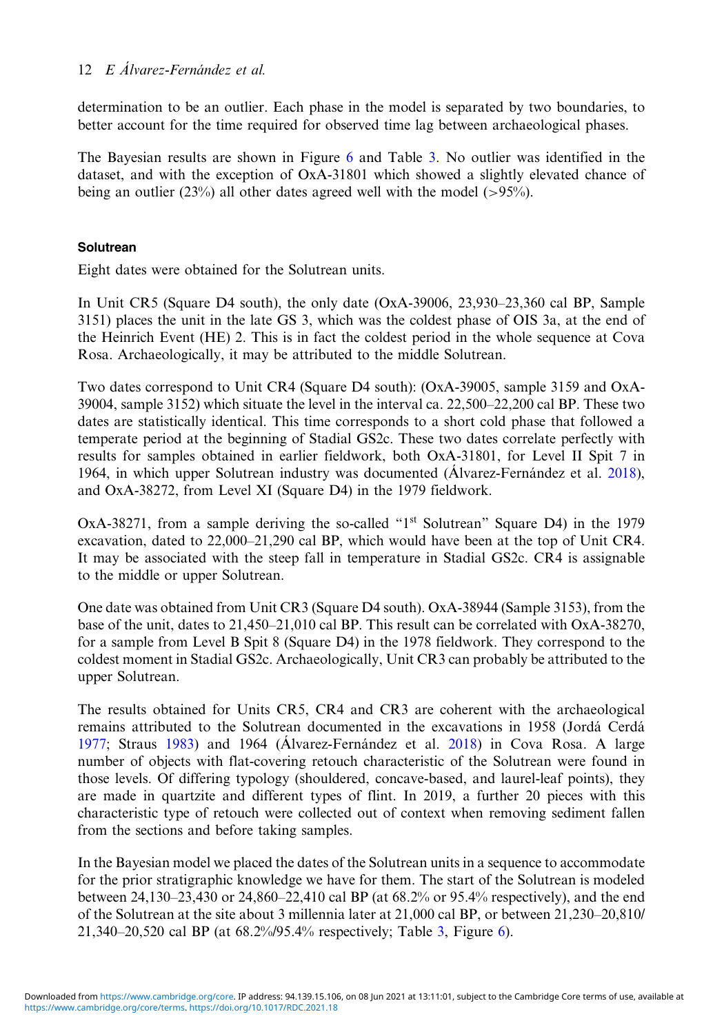determination to be an outlier. Each phase in the model is separated by two boundaries, to better account for the time required for observed time lag between archaeological phases.

The Bayesian results are shown in Figure [6](#page-12-0) and Table [3](#page-13-0). No outlier was identified in the dataset, and with the exception of OxA-31801 which showed a slightly elevated chance of being an outlier (23%) all other dates agreed well with the model ( $>95\%$ ).

### **Solutrean**

Eight dates were obtained for the Solutrean units.

In Unit CR5 (Square D4 south), the only date (OxA-39006, 23,930–23,360 cal BP, Sample 3151) places the unit in the late GS 3, which was the coldest phase of OIS 3a, at the end of the Heinrich Event (HE) 2. This is in fact the coldest period in the whole sequence at Cova Rosa. Archaeologically, it may be attributed to the middle Solutrean.

Two dates correspond to Unit CR4 (Square D4 south): (OxA-39005, sample 3159 and OxA-39004, sample 3152) which situate the level in the interval ca. 22,500–22,200 cal BP. These two dates are statistically identical. This time corresponds to a short cold phase that followed a temperate period at the beginning of Stadial GS2c. These two dates correlate perfectly with results for samples obtained in earlier fieldwork, both OxA-31801, for Level II Spit 7 in 1964, in which upper Solutrean industry was documented (Álvarez-Fernández et al. [2018](#page-17-0)), and OxA-38272, from Level XI (Square D4) in the 1979 fieldwork.

 $OxA-38271$ , from a sample deriving the so-called " $1<sup>st</sup>$  Solutrean" Square D4) in the 1979 excavation, dated to 22,000–21,290 cal BP, which would have been at the top of Unit CR4. It may be associated with the steep fall in temperature in Stadial GS2c. CR4 is assignable to the middle or upper Solutrean.

One date was obtained from Unit CR3 (Square D4 south). OxA-38944 (Sample 3153), from the base of the unit, dates to 21,450–21,010 cal BP. This result can be correlated with OxA-38270, for a sample from Level B Spit 8 (Square D4) in the 1978 fieldwork. They correspond to the coldest moment in Stadial GS2c. Archaeologically, Unit CR3 can probably be attributed to the upper Solutrean.

The results obtained for Units CR5, CR4 and CR3 are coherent with the archaeological remains attributed to the Solutrean documented in the excavations in 1958 (Jordá Cerdá [1977](#page-18-0); Straus [1983](#page-19-0)) and 1964 (Álvarez-Fernández et al. [2018](#page-17-0)) in Cova Rosa. A large number of objects with flat-covering retouch characteristic of the Solutrean were found in those levels. Of differing typology (shouldered, concave-based, and laurel-leaf points), they are made in quartzite and different types of flint. In 2019, a further 20 pieces with this characteristic type of retouch were collected out of context when removing sediment fallen from the sections and before taking samples.

In the Bayesian model we placed the dates of the Solutrean units in a sequence to accommodate for the prior stratigraphic knowledge we have for them. The start of the Solutrean is modeled between 24,130–23,430 or 24,860–22,410 cal BP (at 68.2% or 95.4% respectively), and the end of the Solutrean at the site about 3 millennia later at 21,000 cal BP, or between 21,230–20,810/ 21,340–20,520 cal BP (at 68.2%/95.4% respectively; Table [3](#page-13-0), Figure [6\)](#page-12-0).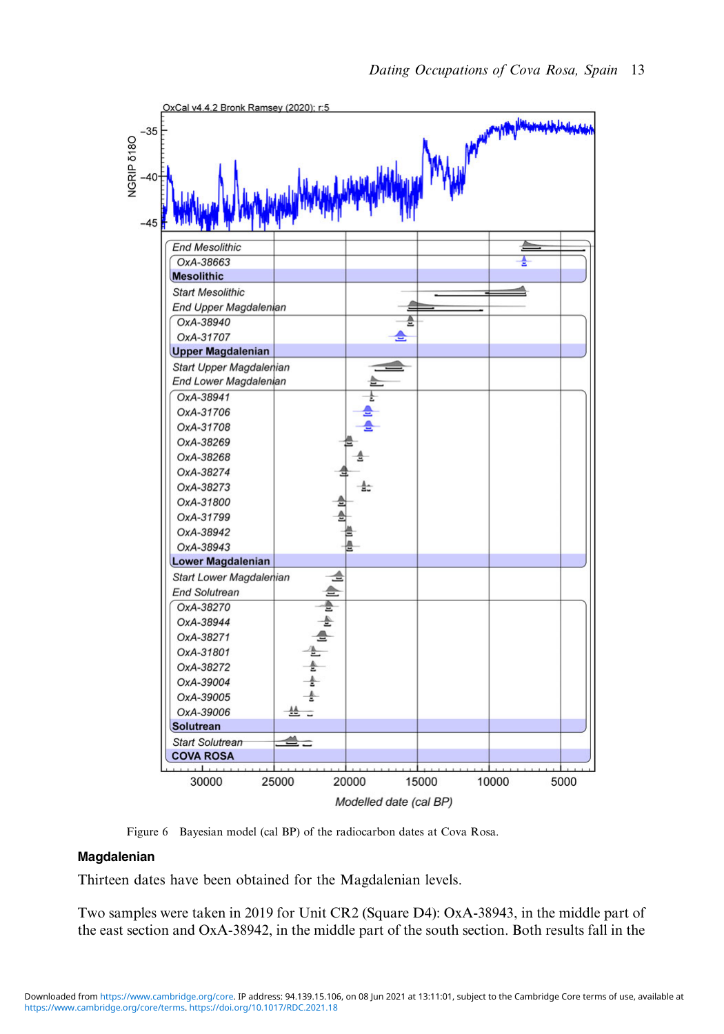<span id="page-12-0"></span>

Figure 6 Bayesian model (cal BP) of the radiocarbon dates at Cova Rosa.

#### Magdalenian

Thirteen dates have been obtained for the Magdalenian levels.

Two samples were taken in 2019 for Unit CR2 (Square D4): OxA-38943, in the middle part of the east section and OxA-38942, in the middle part of the south section. Both results fall in the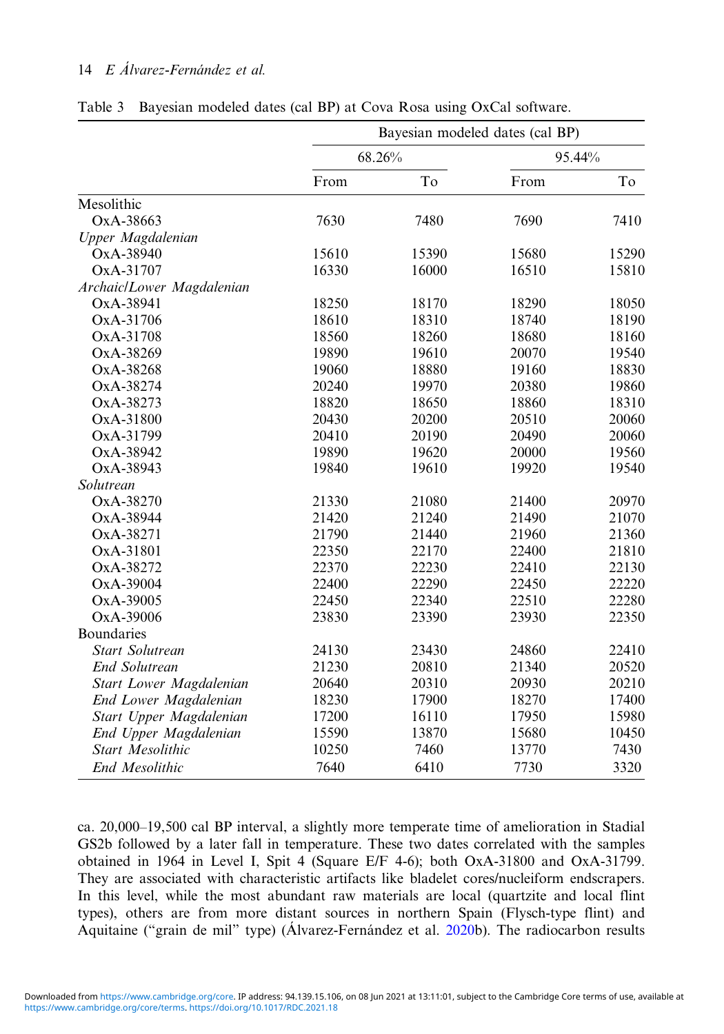|                           | Bayesian modeled dates (cal BP) |        |       |        |  |  |  |
|---------------------------|---------------------------------|--------|-------|--------|--|--|--|
|                           |                                 | 68.26% |       | 95.44% |  |  |  |
|                           | From                            | To     | From  | To     |  |  |  |
| Mesolithic                |                                 |        |       |        |  |  |  |
| OxA-38663                 | 7630                            | 7480   | 7690  | 7410   |  |  |  |
| Upper Magdalenian         |                                 |        |       |        |  |  |  |
| OxA-38940                 | 15610                           | 15390  | 15680 | 15290  |  |  |  |
| OxA-31707                 | 16330                           | 16000  | 16510 | 15810  |  |  |  |
| Archaic/Lower Magdalenian |                                 |        |       |        |  |  |  |
| OxA-38941                 | 18250                           | 18170  | 18290 | 18050  |  |  |  |
| OxA-31706                 | 18610                           | 18310  | 18740 | 18190  |  |  |  |
| OxA-31708                 | 18560                           | 18260  | 18680 | 18160  |  |  |  |
| OxA-38269                 | 19890                           | 19610  | 20070 | 19540  |  |  |  |
| OxA-38268                 | 19060                           | 18880  | 19160 | 18830  |  |  |  |
| OxA-38274                 | 20240                           | 19970  | 20380 | 19860  |  |  |  |
| OxA-38273                 | 18820                           | 18650  | 18860 | 18310  |  |  |  |
| OxA-31800                 | 20430                           | 20200  | 20510 | 20060  |  |  |  |
| OxA-31799                 | 20410                           | 20190  | 20490 | 20060  |  |  |  |
| OxA-38942                 | 19890                           | 19620  | 20000 | 19560  |  |  |  |
| OxA-38943                 | 19840                           | 19610  | 19920 | 19540  |  |  |  |
| Solutrean                 |                                 |        |       |        |  |  |  |
| OxA-38270                 | 21330                           | 21080  | 21400 | 20970  |  |  |  |
| OxA-38944                 | 21420                           | 21240  | 21490 | 21070  |  |  |  |
| OxA-38271                 | 21790                           | 21440  | 21960 | 21360  |  |  |  |
| OxA-31801                 | 22350                           | 22170  | 22400 | 21810  |  |  |  |
| OxA-38272                 | 22370                           | 22230  | 22410 | 22130  |  |  |  |
| OxA-39004                 | 22400                           | 22290  | 22450 | 22220  |  |  |  |
| OxA-39005                 | 22450                           | 22340  | 22510 | 22280  |  |  |  |
| OxA-39006                 | 23830                           | 23390  | 23930 | 22350  |  |  |  |
| <b>Boundaries</b>         |                                 |        |       |        |  |  |  |
| <b>Start Solutrean</b>    | 24130                           | 23430  | 24860 | 22410  |  |  |  |
| <b>End Solutrean</b>      | 21230                           | 20810  | 21340 | 20520  |  |  |  |
| Start Lower Magdalenian   | 20640                           | 20310  | 20930 | 20210  |  |  |  |
| End Lower Magdalenian     | 18230                           | 17900  | 18270 | 17400  |  |  |  |
| Start Upper Magdalenian   | 17200                           | 16110  | 17950 | 15980  |  |  |  |
| End Upper Magdalenian     | 15590                           | 13870  | 15680 | 10450  |  |  |  |
| <b>Start Mesolithic</b>   | 10250                           | 7460   | 13770 | 7430   |  |  |  |
| End Mesolithic            | 7640                            | 6410   | 7730  | 3320   |  |  |  |

<span id="page-13-0"></span>Table 3 Bayesian modeled dates (cal BP) at Cova Rosa using OxCal software.

ca. 20,000–19,500 cal BP interval, a slightly more temperate time of amelioration in Stadial GS2b followed by a later fall in temperature. These two dates correlated with the samples obtained in 1964 in Level I, Spit 4 (Square E/F 4-6); both OxA-31800 and OxA-31799. They are associated with characteristic artifacts like bladelet cores/nucleiform endscrapers. In this level, while the most abundant raw materials are local (quartzite and local flint types), others are from more distant sources in northern Spain (Flysch-type flint) and Aquitaine ("grain de mil" type) (Álvarez-Fernández et al. [2020](#page-18-0)b). The radiocarbon results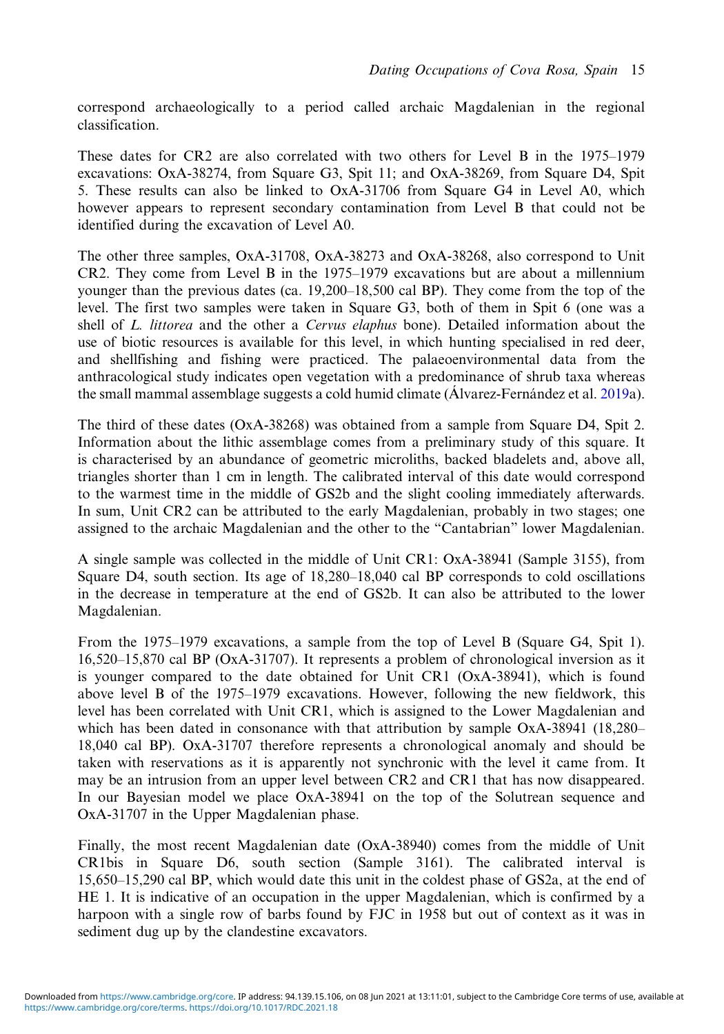correspond archaeologically to a period called archaic Magdalenian in the regional classification.

These dates for CR2 are also correlated with two others for Level B in the 1975–1979 excavations: OxA-38274, from Square G3, Spit 11; and OxA-38269, from Square D4, Spit 5. These results can also be linked to OxA-31706 from Square G4 in Level A0, which however appears to represent secondary contamination from Level B that could not be identified during the excavation of Level A0.

The other three samples, OxA-31708, OxA-38273 and OxA-38268, also correspond to Unit CR2. They come from Level B in the 1975–1979 excavations but are about a millennium younger than the previous dates (ca. 19,200–18,500 cal BP). They come from the top of the level. The first two samples were taken in Square G3, both of them in Spit 6 (one was a shell of L. littorea and the other a Cervus elaphus bone). Detailed information about the use of biotic resources is available for this level, in which hunting specialised in red deer, and shellfishing and fishing were practiced. The palaeoenvironmental data from the anthracological study indicates open vegetation with a predominance of shrub taxa whereas the small mammal assemblage suggests a cold humid climate (Álvarez-Fernández et al. [2019](#page-17-0)a).

The third of these dates (OxA-38268) was obtained from a sample from Square D4, Spit 2. Information about the lithic assemblage comes from a preliminary study of this square. It is characterised by an abundance of geometric microliths, backed bladelets and, above all, triangles shorter than 1 cm in length. The calibrated interval of this date would correspond to the warmest time in the middle of GS2b and the slight cooling immediately afterwards. In sum, Unit CR2 can be attributed to the early Magdalenian, probably in two stages; one assigned to the archaic Magdalenian and the other to the "Cantabrian" lower Magdalenian.

A single sample was collected in the middle of Unit CR1: OxA-38941 (Sample 3155), from Square D4, south section. Its age of 18,280–18,040 cal BP corresponds to cold oscillations in the decrease in temperature at the end of GS2b. It can also be attributed to the lower Magdalenian.

From the 1975–1979 excavations, a sample from the top of Level B (Square G4, Spit 1). 16,520–15,870 cal BP (OxA-31707). It represents a problem of chronological inversion as it is younger compared to the date obtained for Unit CR1 (OxA-38941), which is found above level B of the 1975–1979 excavations. However, following the new fieldwork, this level has been correlated with Unit CR1, which is assigned to the Lower Magdalenian and which has been dated in consonance with that attribution by sample OxA-38941 (18,280– 18,040 cal BP). OxA-31707 therefore represents a chronological anomaly and should be taken with reservations as it is apparently not synchronic with the level it came from. It may be an intrusion from an upper level between CR2 and CR1 that has now disappeared. In our Bayesian model we place OxA-38941 on the top of the Solutrean sequence and OxA-31707 in the Upper Magdalenian phase.

Finally, the most recent Magdalenian date (OxA-38940) comes from the middle of Unit CR1bis in Square D6, south section (Sample 3161). The calibrated interval is 15,650–15,290 cal BP, which would date this unit in the coldest phase of GS2a, at the end of HE 1. It is indicative of an occupation in the upper Magdalenian, which is confirmed by a harpoon with a single row of barbs found by FJC in 1958 but out of context as it was in sediment dug up by the clandestine excavators.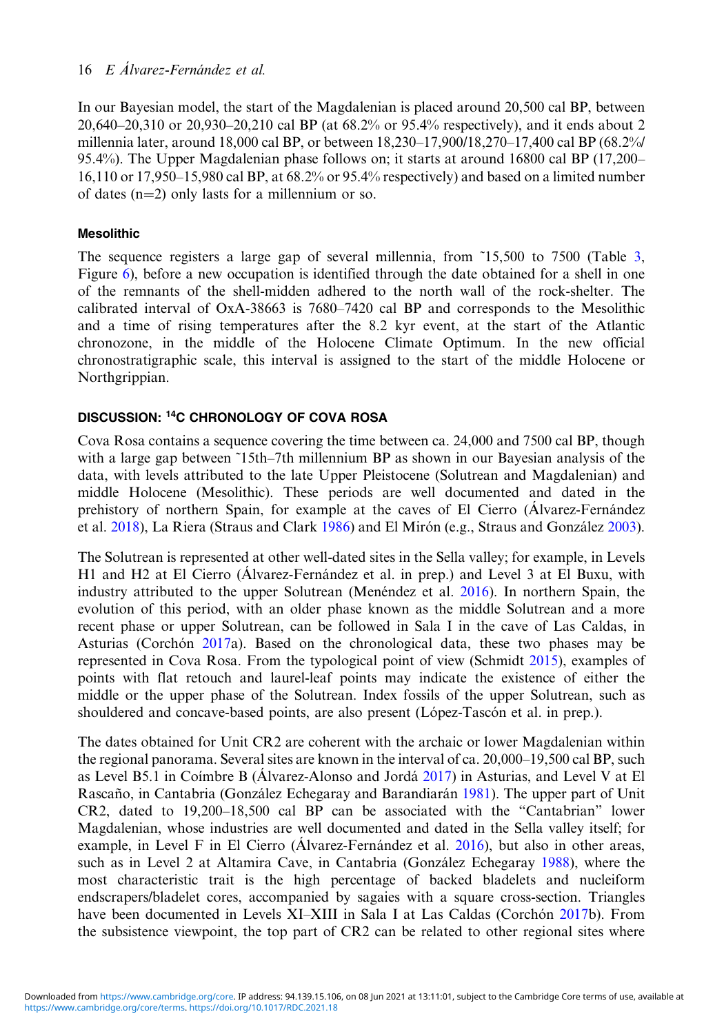In our Bayesian model, the start of the Magdalenian is placed around 20,500 cal BP, between 20,640–20,310 or 20,930–20,210 cal BP (at 68.2% or 95.4% respectively), and it ends about 2 millennia later, around 18,000 cal BP, or between 18,230–17,900/18,270–17,400 cal BP (68.2%/ 95.4%). The Upper Magdalenian phase follows on; it starts at around 16800 cal BP (17,200– 16,110 or 17,950–15,980 cal BP, at 68.2% or 95.4% respectively) and based on a limited number of dates (n=2) only lasts for a millennium or so.

# Mesolithic

The sequence registers a large gap of several millennia, from ˜15,500 to 7500 (Table [3](#page-13-0), Figure [6](#page-12-0)), before a new occupation is identified through the date obtained for a shell in one of the remnants of the shell-midden adhered to the north wall of the rock-shelter. The calibrated interval of OxA-38663 is 7680–7420 cal BP and corresponds to the Mesolithic and a time of rising temperatures after the 8.2 kyr event, at the start of the Atlantic chronozone, in the middle of the Holocene Climate Optimum. In the new official chronostratigraphic scale, this interval is assigned to the start of the middle Holocene or Northgrippian.

# DISCUSSION: 14C CHRONOLOGY OF COVA ROSA

Cova Rosa contains a sequence covering the time between ca. 24,000 and 7500 cal BP, though with a large gap between ~15th–7th millennium BP as shown in our Bayesian analysis of the data, with levels attributed to the late Upper Pleistocene (Solutrean and Magdalenian) and middle Holocene (Mesolithic). These periods are well documented and dated in the prehistory of northern Spain, for example at the caves of El Cierro (Álvarez-Fernández et al. [2018](#page-17-0)), La Riera (Straus and Clark [1986\)](#page-19-0) and El Mirón (e.g., Straus and González [2003](#page-19-0)).

The Solutrean is represented at other well-dated sites in the Sella valley; for example, in Levels H1 and H2 at El Cierro (Álvarez-Fernández et al. in prep.) and Level 3 at El Buxu, with industry attributed to the upper Solutrean (Menéndez et al. [2016](#page-19-0)). In northern Spain, the evolution of this period, with an older phase known as the middle Solutrean and a more recent phase or upper Solutrean, can be followed in Sala I in the cave of Las Caldas, in Asturias (Corchón  $2017a$ ). Based on the chronological data, these two phases may be represented in Cova Rosa. From the typological point of view (Schmidt [2015\)](#page-19-0), examples of points with flat retouch and laurel-leaf points may indicate the existence of either the middle or the upper phase of the Solutrean. Index fossils of the upper Solutrean, such as shouldered and concave-based points, are also present (López-Tascón et al. in prep.).

The dates obtained for Unit CR2 are coherent with the archaic or lower Magdalenian within the regional panorama. Several sites are known in the interval of ca. 20,000–19,500 cal BP, such as Level B5.1 in Coímbre B (Álvarez-Alonso and Jordá [2017](#page-17-0)) in Asturias, and Level V at El Rascaño, in Cantabria (González Echegaray and Barandiarán [1981\)](#page-18-0). The upper part of Unit CR2, dated to 19,200–18,500 cal BP can be associated with the "Cantabrian" lower Magdalenian, whose industries are well documented and dated in the Sella valley itself; for example, in Level F in El Cierro (Álvarez-Fernández et al. [2016](#page-17-0)), but also in other areas, such as in Level 2 at Altamira Cave, in Cantabria (González Echegaray [1988\)](#page-18-0), where the most characteristic trait is the high percentage of backed bladelets and nucleiform endscrapers/bladelet cores, accompanied by sagaies with a square cross-section. Triangles have been documented in Levels XI–XIII in Sala I at Las Caldas (Corchón [2017b](#page-18-0)). From the subsistence viewpoint, the top part of CR2 can be related to other regional sites where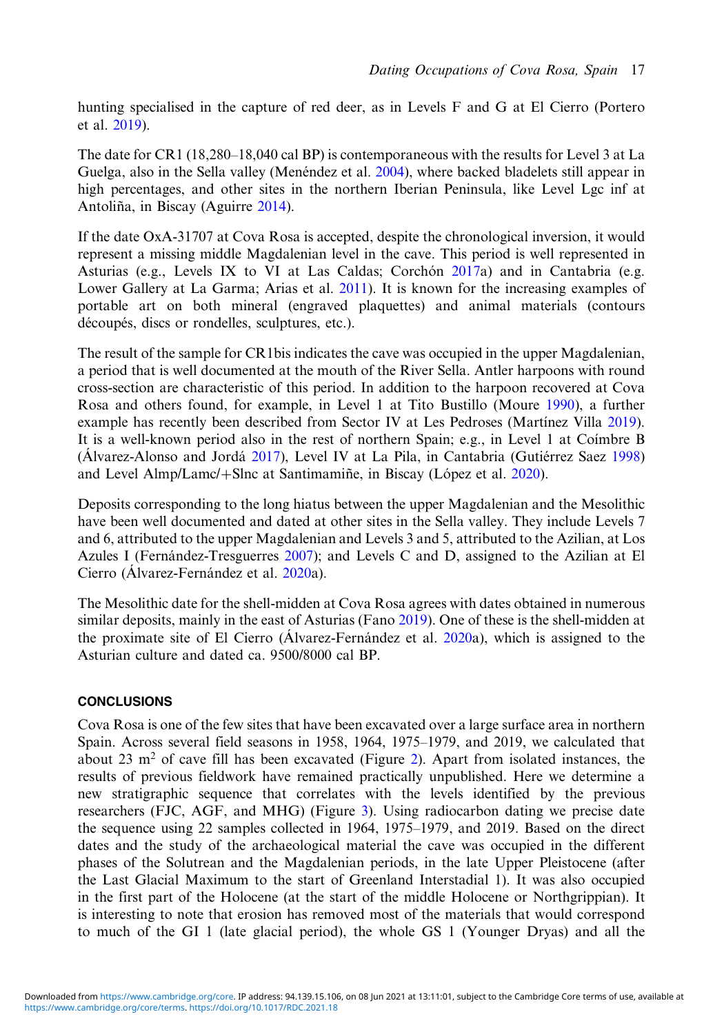hunting specialised in the capture of red deer, as in Levels F and G at El Cierro (Portero et al. [2019\)](#page-19-0).

The date for CR1 (18,280–18,040 cal BP) is contemporaneous with the results for Level 3 at La Guelga, also in the Sella valley (Menéndez et al. [2004](#page-18-0)), where backed bladelets still appear in high percentages, and other sites in the northern Iberian Peninsula, like Level Lgc inf at Antoliña, in Biscay (Aguirre [2014](#page-17-0)).

If the date OxA-31707 at Cova Rosa is accepted, despite the chronological inversion, it would represent a missing middle Magdalenian level in the cave. This period is well represented in Asturias (e.g., Levels IX to VI at Las Caldas; Corchón  $2017a$  $2017a$ ) and in Cantabria (e.g. Lower Gallery at La Garma; Arias et al. [2011](#page-18-0)). It is known for the increasing examples of portable art on both mineral (engraved plaquettes) and animal materials (contours découpés, discs or rondelles, sculptures, etc.).

The result of the sample for CR1bis indicates the cave was occupied in the upper Magdalenian, a period that is well documented at the mouth of the River Sella. Antler harpoons with round cross-section are characteristic of this period. In addition to the harpoon recovered at Cova Rosa and others found, for example, in Level 1 at Tito Bustillo (Moure [1990](#page-19-0)), a further example has recently been described from Sector IV at Les Pedroses (Martínez Villa [2019](#page-18-0)). It is a well-known period also in the rest of northern Spain; e.g., in Level 1 at Coímbre B (Álvarez-Alonso and Jordá [2017](#page-17-0)), Level IV at La Pila, in Cantabria (Gutiérrez Saez [1998\)](#page-18-0) and Level Almp/Lamc/+Slnc at Santimamine, in Biscay (López et al. [2020](#page-18-0)).

Deposits corresponding to the long hiatus between the upper Magdalenian and the Mesolithic have been well documented and dated at other sites in the Sella valley. They include Levels 7 and 6, attributed to the upper Magdalenian and Levels 3 and 5, attributed to the Azilian, at Los Azules I (Fernández-Tresguerres [2007](#page-18-0)); and Levels C and D, assigned to the Azilian at El Cierro (Álvarez-Fernández et al. [2020a](#page-17-0)).

The Mesolithic date for the shell-midden at Cova Rosa agrees with dates obtained in numerous similar deposits, mainly in the east of Asturias (Fano [2019\)](#page-18-0). One of these is the shell-midden at the proximate site of El Cierro (Álvarez-Fernández et al. [2020a](#page-17-0)), which is assigned to the Asturian culture and dated ca. 9500/8000 cal BP.

### **CONCLUSIONS**

Cova Rosa is one of the few sites that have been excavated over a large surface area in northern Spain. Across several field seasons in 1958, 1964, 1975–1979, and 2019, we calculated that about 23  $\text{m}^2$  of cave fill has been excavated (Figure [2\)](#page-3-0). Apart from isolated instances, the results of previous fieldwork have remained practically unpublished. Here we determine a new stratigraphic sequence that correlates with the levels identified by the previous researchers (FJC, AGF, and MHG) (Figure [3](#page-5-0)). Using radiocarbon dating we precise date the sequence using 22 samples collected in 1964, 1975–1979, and 2019. Based on the direct dates and the study of the archaeological material the cave was occupied in the different phases of the Solutrean and the Magdalenian periods, in the late Upper Pleistocene (after the Last Glacial Maximum to the start of Greenland Interstadial 1). It was also occupied in the first part of the Holocene (at the start of the middle Holocene or Northgrippian). It is interesting to note that erosion has removed most of the materials that would correspond to much of the GI 1 (late glacial period), the whole GS 1 (Younger Dryas) and all the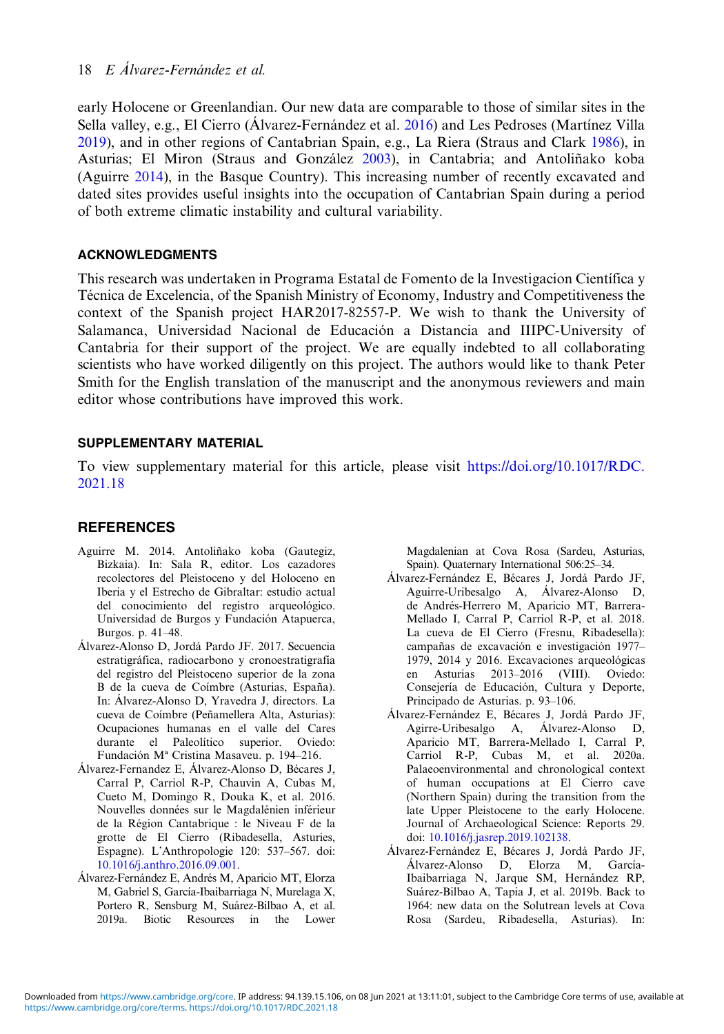<span id="page-17-0"></span>early Holocene or Greenlandian. Our new data are comparable to those of similar sites in the Sella valley, e.g., El Cierro (Álvarez-Fernández et al. 2016) and Les Pedroses (Martínez Villa [2019](#page-18-0)), and in other regions of Cantabrian Spain, e.g., La Riera (Straus and Clark [1986](#page-19-0)), in Asturias; El Miron (Straus and González [2003](#page-19-0)), in Cantabria; and Antoliñako koba (Aguirre 2014), in the Basque Country). This increasing number of recently excavated and dated sites provides useful insights into the occupation of Cantabrian Spain during a period of both extreme climatic instability and cultural variability.

### ACKNOWLEDGMENTS

This research was undertaken in Programa Estatal de Fomento de la Investigacion Científica y Técnica de Excelencia, of the Spanish Ministry of Economy, Industry and Competitiveness the context of the Spanish project HAR2017-82557-P. We wish to thank the University of Salamanca, Universidad Nacional de Educación a Distancia and IIIPC-University of Cantabria for their support of the project. We are equally indebted to all collaborating scientists who have worked diligently on this project. The authors would like to thank Peter Smith for the English translation of the manuscript and the anonymous reviewers and main editor whose contributions have improved this work.

### SUPPLEMENTARY MATERIAL

To view supplementary material for this article, please visit [https://doi.org/10.1017/RDC.](https://doi.org/10.1017/RDC.2021.18) [2021.18](https://doi.org/10.1017/RDC.2021.18)

### REFERENCES

- Aguirre M. 2014. Antoliñako koba (Gautegiz, Bizkaia). In: Sala R, editor. Los cazadores recolectores del Pleistoceno y del Holoceno en Iberia y el Estrecho de Gibraltar: estudio actual del conocimiento del registro arqueológico. Universidad de Burgos y Fundación Atapuerca, Burgos. p. 41–48.
- Álvarez-Alonso D, Jordá Pardo JF. 2017. Secuencia estratigráfica, radiocarbono y cronoestratigrafía del registro del Pleistoceno superior de la zona B de la cueva de Coímbre (Asturias, España). In: Álvarez-Alonso D, Yravedra J, directors. La cueva de Coímbre (Peñamellera Alta, Asturias): Ocupaciones humanas en el valle del Cares durante el Paleolítico superior. Oviedo: Fundación Mª Cristina Masaveu. p. 194-216.
- Álvarez-Fernandez E, Álvarez-Alonso D, Bécares J, Carral P, Carriol R-P, Chauvin A, Cubas M, Cueto M, Domingo R, Douka K, et al. 2016. Nouvelles données sur le Magdalénien inférieur de la Région Cantabrique : le Niveau F de la grotte de El Cierro (Ribadesella, Asturies, Espagne). L'Anthropologie 120: 537–567. doi: [10.1016/j.anthro.2016.09.001.](https://doi.org/10.1016/j.anthro.2016.09.001)
- Álvarez-Fernández E, Andrés M, Aparicio MT, Elorza M, Gabriel S, García-Ibaibarriaga N, Murelaga X, Portero R, Sensburg M, Suárez-Bilbao A, et al. 2019a. Biotic Resources in the Lower

Magdalenian at Cova Rosa (Sardeu, Asturias, Spain). Quaternary International 506:25–34.

- Álvarez-Fernández E, Bécares J, Jordá Pardo JF, Aguirre-Uribesalgo A, Álvarez-Alonso D, de Andrés-Herrero M, Aparicio MT, Barrera-Mellado I, Carral P, Carriol R-P, et al. 2018. La cueva de El Cierro (Fresnu, Ribadesella): campañas de excavación e investigación 1977– 1979, 2014 y 2016. Excavaciones arqueológicas en Asturias 2013–2016 (VIII). Oviedo: Consejería de Educación, Cultura y Deporte, Principado de Asturias. p. 93–106.
- Álvarez-Fernández E, Bécares J, Jordá Pardo JF, Agirre-Uribesalgo A, Álvarez-Alonso D, Aparicio MT, Barrera-Mellado I, Carral P, Carriol R-P, Cubas M, et al. 2020a. Palaeoenvironmental and chronological context of human occupations at El Cierro cave (Northern Spain) during the transition from the late Upper Pleistocene to the early Holocene. Journal of Archaeological Science: Reports 29. doi: [10.1016/j.jasrep.2019.102138](https://doi.org/10.1016/j.jasrep.2019.102138).
- Álvarez-Fernández E, Bécares J, Jordá Pardo JF, Álvarez-Alonso D, Elorza M, García-Ibaibarriaga N, Jarque SM, Hernández RP, Suárez-Bilbao A, Tapia J, et al. 2019b. Back to 1964: new data on the Solutrean levels at Cova Rosa (Sardeu, Ribadesella, Asturias). In: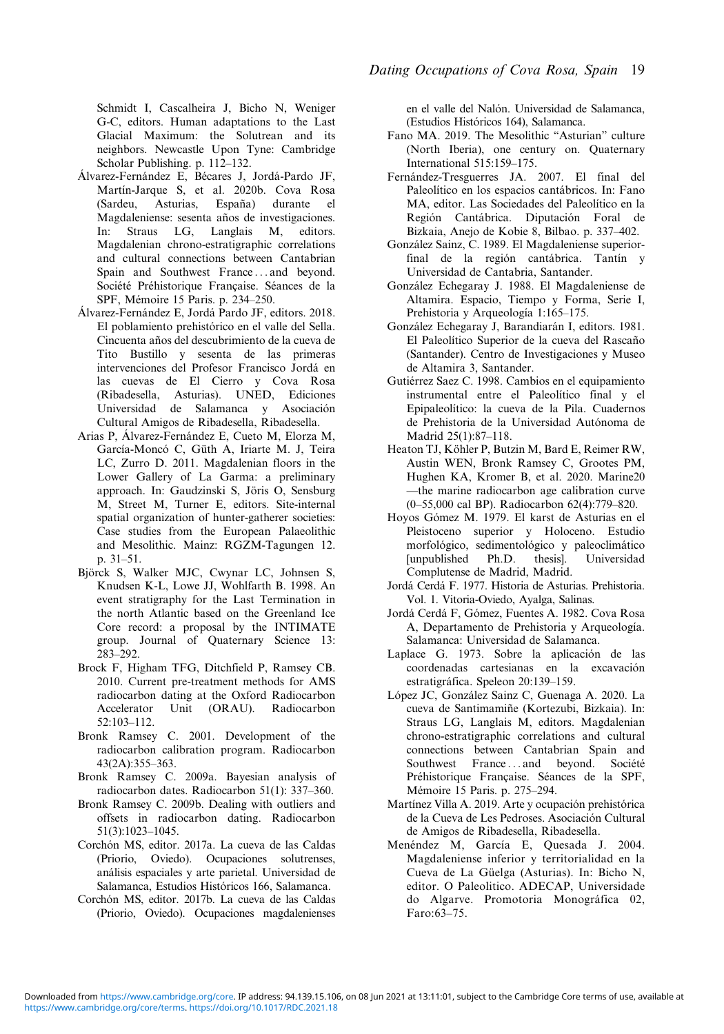<span id="page-18-0"></span>Schmidt I, Cascalheira J, Bicho N, Weniger G-C, editors. Human adaptations to the Last Glacial Maximum: the Solutrean and its neighbors. Newcastle Upon Tyne: Cambridge Scholar Publishing. p. 112–132.

- Álvarez-Fernández E, Bécares J, Jordá-Pardo JF, Martín-Jarque S, et al. 2020b. Cova Rosa (Sardeu, Asturias, España) durante el Magdaleniense: sesenta años de investigaciones. In: Straus LG, Langlais M, editors. Magdalenian chrono-estratigraphic correlations and cultural connections between Cantabrian Spain and Southwest France ... and beyond. Société Préhistorique Française. Séances de la SPF, Mémoire 15 Paris. p. 234–250.
- Álvarez-Fernández E, Jordá Pardo JF, editors. 2018. El poblamiento prehistórico en el valle del Sella. Cincuenta años del descubrimiento de la cueva de Tito Bustillo y sesenta de las primeras intervenciones del Profesor Francisco Jordá en las cuevas de El Cierro y Cova Rosa (Ribadesella, Asturias). UNED, Ediciones Universidad de Salamanca y Asociación Cultural Amigos de Ribadesella, Ribadesella.
- Arias P, Álvarez-Fernández E, Cueto M, Elorza M, García-Moncó C, Güth A, Iriarte M. J, Teira LC, Zurro D. 2011. Magdalenian floors in the Lower Gallery of La Garma: a preliminary approach. In: Gaudzinski S, Jöris O, Sensburg M, Street M, Turner E, editors. Site-internal spatial organization of hunter-gatherer societies: Case studies from the European Palaeolithic and Mesolithic. Mainz: RGZM-Tagungen 12. p. 31–51.
- Björck S, Walker MJC, Cwynar LC, Johnsen S, Knudsen K-L, Lowe JJ, Wohlfarth B. 1998. An event stratigraphy for the Last Termination in the north Atlantic based on the Greenland Ice Core record: a proposal by the INTIMATE group. Journal of Quaternary Science 13: 283–292.
- Brock F, Higham TFG, Ditchfield P, Ramsey CB. 2010. Current pre-treatment methods for AMS radiocarbon dating at the Oxford Radiocarbon Accelerator Unit (ORAU). Radiocarbon 52:103–112.
- Bronk Ramsey C. 2001. Development of the radiocarbon calibration program. Radiocarbon 43(2A):355–363.
- Bronk Ramsey C. 2009a. Bayesian analysis of radiocarbon dates. Radiocarbon 51(1): 337–360.
- Bronk Ramsey C. 2009b. Dealing with outliers and offsets in radiocarbon dating. Radiocarbon 51(3):1023–1045.
- Corchón MS, editor. 2017a. La cueva de las Caldas (Priorio, Oviedo). Ocupaciones solutrenses, análisis espaciales y arte parietal. Universidad de Salamanca, Estudios Históricos 166, Salamanca.
- Corchón MS, editor. 2017b. La cueva de las Caldas (Priorio, Oviedo). Ocupaciones magdalenienses

en el valle del Nalón. Universidad de Salamanca, (Estudios Históricos 164), Salamanca.

- Fano MA. 2019. The Mesolithic "Asturian" culture (North Iberia), one century on. Quaternary International 515:159–175.
- Fernández-Tresguerres JA. 2007. El final del Paleolítico en los espacios cantábricos. In: Fano MA, editor. Las Sociedades del Paleolítico en la Región Cantábrica. Diputación Foral de Bizkaia, Anejo de Kobie 8, Bilbao. p. 337–402.
- González Sainz, C. 1989. El Magdaleniense superiorfinal de la región cantábrica. Tantín y Universidad de Cantabria, Santander.
- González Echegaray J. 1988. El Magdaleniense de Altamira. Espacio, Tiempo y Forma, Serie I, Prehistoria y Arqueología 1:165–175.
- González Echegaray J, Barandiarán I, editors. 1981. El Paleolítico Superior de la cueva del Rascaño (Santander). Centro de Investigaciones y Museo de Altamira 3, Santander.
- Gutiérrez Saez C. 1998. Cambios en el equipamiento instrumental entre el Paleolítico final y el Epipaleolítico: la cueva de la Pila. Cuadernos de Prehistoria de la Universidad Autónoma de Madrid 25(1):87–118.
- Heaton TJ, Köhler P, Butzin M, Bard E, Reimer RW, —Austin WEN, Bronk Ramsey C, Grootes PM, Hughen KA, Kromer B, et al. 2020. Marine20 the marine radiocarbon age calibration curve (0–55,000 cal BP). Radiocarbon 62(4):779–820.
- Hoyos Gómez M. 1979. El karst de Asturias en el Pleistoceno superior y Holoceno. Estudio morfológico, sedimentológico y paleoclimático<br>
[unpublished Ph.D. thesis]. Universidad [unpublished Ph.D. thesis]. Complutense de Madrid, Madrid.
- Jordá Cerdá F. 1977. Historia de Asturias. Prehistoria. Vol. 1. Vitoria-Oviedo, Ayalga, Salinas.
- Jordá Cerdá F, Gómez, Fuentes A. 1982. Cova Rosa A, Departamento de Prehistoria y Arqueología. Salamanca: Universidad de Salamanca.
- Laplace G. 1973. Sobre la aplicación de las coordenadas cartesianas en la excavación estratigráfica. Speleon 20:139–159.
- López JC, González Sainz C, Guenaga A. 2020. La cueva de Santimamiñe (Kortezubi, Bizkaia). In: Straus LG, Langlais M, editors. Magdalenian chrono-estratigraphic correlations and cultural connections between Cantabrian Spain and Southwest France ... and beyond. Société Préhistorique Française. Séances de la SPF, Mémoire 15 Paris. p. 275–294.
- Martínez Villa A. 2019. Arte y ocupación prehistórica de la Cueva de Les Pedroses. Asociación Cultural de Amigos de Ribadesella, Ribadesella.
- Menéndez M, García E, Quesada J. 2004. Magdaleniense inferior y territorialidad en la Cueva de La Güelga (Asturias). In: Bicho N, editor. O Paleolitico. ADECAP, Universidade do Algarve. Promotoria Monográfica 02, Faro:63–75.